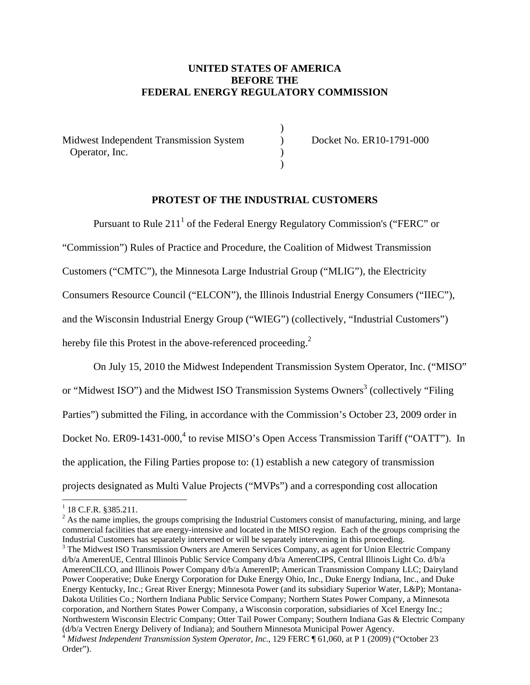# **UNITED STATES OF AMERICA BEFORE THE FEDERAL ENERGY REGULATORY COMMISSION**

Midwest Independent Transmission System (b) Docket No. ER10-1791-000 Operator, Inc. (1)

 $)$ 

 $)$ 

# **PROTEST OF THE INDUSTRIAL CUSTOMERS**

Pursuant to Rule 211 $^1$  of the Federal Energy Regulatory Commission's ("FERC" or "Commission") Rules of Practice and Procedure, the Coalition of Midwest Transmission Customers ("CMTC"), the Minnesota Large Industrial Group ("MLIG"), the Electricity Consumers Resource Council ("ELCON"), the Illinois Industrial Energy Consumers ("IIEC"), and the Wisconsin Industrial Energy Group ("WIEG") (collectively, "Industrial Customers") hereby file this Protest in the above-referenced proceeding. $2$ 

On July 15, 2010 the Midwest Independent Transmission System Operator, Inc. ("MISO" or "Midwest ISO") and the Midwest ISO Transmission Systems Owners<sup>3</sup> (collectively "Filing Parties") submitted the Filing, in accordance with the Commission's October 23, 2009 order in Docket No. ER09-1431-000,<sup>4</sup> to revise MISO's Open Access Transmission Tariff ("OATT"). In the application, the Filing Parties propose to: (1) establish a new category of transmission projects designated as Multi Value Projects ("MVPs") and a corresponding cost allocation

 $\overline{a}$ 

 $2^2$  As the name implies, the groups comprising the Industrial Customers consist of manufacturing, mining, and large commercial facilities that are energy-intensive and located in the MISO region. Each of the groups comprising the Industrial Customers has separately intervened or will be separately intervening in this proceeding. 3

<sup>3</sup> The Midwest ISO Transmission Owners are Ameren Services Company, as agent for Union Electric Company d/b/a AmerenUE, Central Illinois Public Service Company d/b/a AmerenCIPS, Central Illinois Light Co. d/b/a AmerenCILCO, and Illinois Power Company d/b/a AmerenIP; American Transmission Company LLC; Dairyland Power Cooperative; Duke Energy Corporation for Duke Energy Ohio, Inc., Duke Energy Indiana, Inc., and Duke Energy Kentucky, Inc.; Great River Energy; Minnesota Power (and its subsidiary Superior Water, L&P); Montana-Dakota Utilities Co.; Northern Indiana Public Service Company; Northern States Power Company, a Minnesota corporation, and Northern States Power Company, a Wisconsin corporation, subsidiaries of Xcel Energy Inc.; Northwestern Wisconsin Electric Company; Otter Tail Power Company; Southern Indiana Gas & Electric Company (d/b/a Vectren Energy Delivery of Indiana); and Southern Minnesota Municipal Power Agency. <sup>4</sup> Midwest Independent Transmission System Operator, Inc., 129 FERC ¶ 61,060, at P 1 (2009) ("October 23 Order").

 $1$  18 C.F.R. §385.211.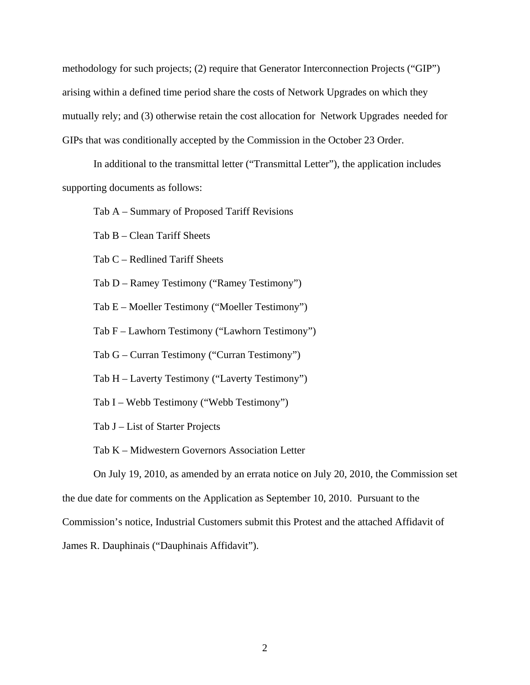methodology for such projects; (2) require that Generator Interconnection Projects ("GIP") arising within a defined time period share the costs of Network Upgrades on which they mutually rely; and (3) otherwise retain the cost allocation for Network Upgrades needed for GIPs that was conditionally accepted by the Commission in the October 23 Order.

In additional to the transmittal letter ("Transmittal Letter"), the application includes supporting documents as follows:

Tab A – Summary of Proposed Tariff Revisions

Tab B – Clean Tariff Sheets

Tab C – Redlined Tariff Sheets

Tab D – Ramey Testimony ("Ramey Testimony")

Tab E – Moeller Testimony ("Moeller Testimony")

Tab F – Lawhorn Testimony ("Lawhorn Testimony")

Tab G – Curran Testimony ("Curran Testimony")

Tab H – Laverty Testimony ("Laverty Testimony")

Tab I – Webb Testimony ("Webb Testimony")

Tab J – List of Starter Projects

Tab K – Midwestern Governors Association Letter

On July 19, 2010, as amended by an errata notice on July 20, 2010, the Commission set

the due date for comments on the Application as September 10, 2010. Pursuant to the

Commission's notice, Industrial Customers submit this Protest and the attached Affidavit of

James R. Dauphinais ("Dauphinais Affidavit").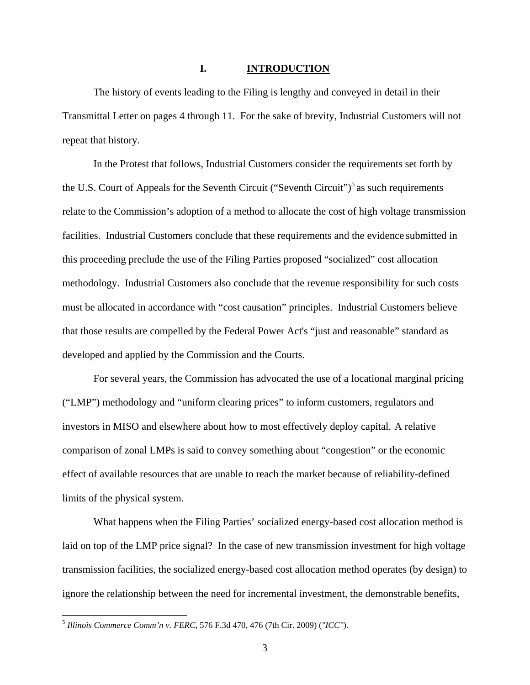#### **I. INTRODUCTION**

The history of events leading to the Filing is lengthy and conveyed in detail in their Transmittal Letter on pages 4 through 11. For the sake of brevity, Industrial Customers will not repeat that history.

In the Protest that follows, Industrial Customers consider the requirements set forth by the U.S. Court of Appeals for the Seventh Circuit ("Seventh Circuit")<sup>5</sup> as such requirements relate to the Commission's adoption of a method to allocate the cost of high voltage transmission facilities. Industrial Customers conclude that these requirements and the evidence submitted in this proceeding preclude the use of the Filing Parties proposed "socialized" cost allocation methodology. Industrial Customers also conclude that the revenue responsibility for such costs must be allocated in accordance with "cost causation" principles. Industrial Customers believe that those results are compelled by the Federal Power Act's "just and reasonable" standard as developed and applied by the Commission and the Courts.

For several years, the Commission has advocated the use of a locational marginal pricing ("LMP") methodology and "uniform clearing prices" to inform customers, regulators and investors in MISO and elsewhere about how to most effectively deploy capital. A relative comparison of zonal LMPs is said to convey something about "congestion" or the economic effect of available resources that are unable to reach the market because of reliability-defined limits of the physical system.

What happens when the Filing Parties' socialized energy-based cost allocation method is laid on top of the LMP price signal? In the case of new transmission investment for high voltage transmission facilities, the socialized energy-based cost allocation method operates (by design) to ignore the relationship between the need for incremental investment, the demonstrable benefits,

<sup>5</sup> *Illinois Commerce Comm'n v. FERC,* 576 F.3d 470, 476 (7th Cir. 2009) (*"ICC"*).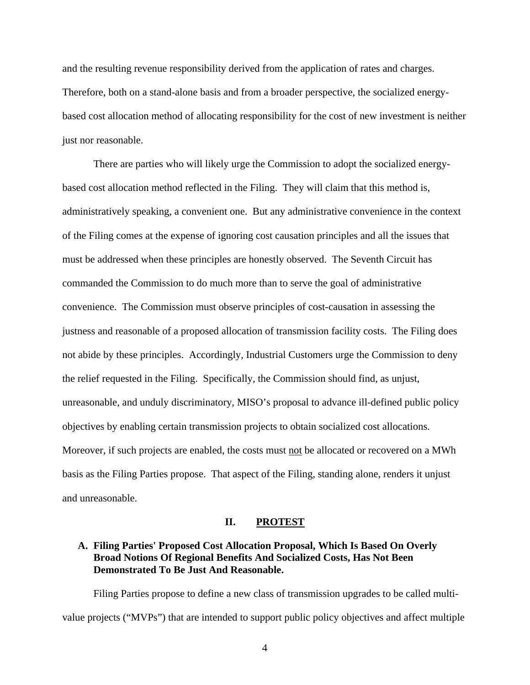and the resulting revenue responsibility derived from the application of rates and charges. Therefore, both on a stand-alone basis and from a broader perspective, the socialized energybased cost allocation method of allocating responsibility for the cost of new investment is neither just nor reasonable.

There are parties who will likely urge the Commission to adopt the socialized energybased cost allocation method reflected in the Filing. They will claim that this method is, administratively speaking, a convenient one. But any administrative convenience in the context of the Filing comes at the expense of ignoring cost causation principles and all the issues that must be addressed when these principles are honestly observed. The Seventh Circuit has commanded the Commission to do much more than to serve the goal of administrative convenience. The Commission must observe principles of cost-causation in assessing the justness and reasonable of a proposed allocation of transmission facility costs. The Filing does not abide by these principles. Accordingly, Industrial Customers urge the Commission to deny the relief requested in the Filing. Specifically, the Commission should find, as unjust, unreasonable, and unduly discriminatory, MISO's proposal to advance ill-defined public policy objectives by enabling certain transmission projects to obtain socialized cost allocations. Moreover, if such projects are enabled, the costs must not be allocated or recovered on a MWh basis as the Filing Parties propose. That aspect of the Filing, standing alone, renders it unjust and unreasonable.

### **II. PROTEST**

## **A. Filing Parties' Proposed Cost Allocation Proposal, Which Is Based On Overly Broad Notions Of Regional Benefits And Socialized Costs, Has Not Been Demonstrated To Be Just And Reasonable.**

Filing Parties propose to define a new class of transmission upgrades to be called multivalue projects ("MVPs") that are intended to support public policy objectives and affect multiple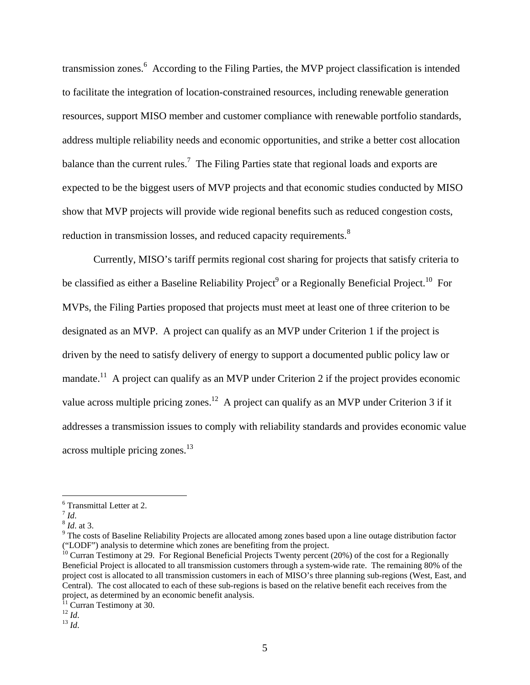transmission zones.<sup>6</sup> According to the Filing Parties, the MVP project classification is intended to facilitate the integration of location-constrained resources, including renewable generation resources, support MISO member and customer compliance with renewable portfolio standards, address multiple reliability needs and economic opportunities, and strike a better cost allocation balance than the current rules.<sup>7</sup> The Filing Parties state that regional loads and exports are expected to be the biggest users of MVP projects and that economic studies conducted by MISO show that MVP projects will provide wide regional benefits such as reduced congestion costs, reduction in transmission losses, and reduced capacity requirements.<sup>8</sup>

Currently, MISO's tariff permits regional cost sharing for projects that satisfy criteria to be classified as either a Baseline Reliability Project<sup>9</sup> or a Regionally Beneficial Project.<sup>10</sup> For MVPs, the Filing Parties proposed that projects must meet at least one of three criterion to be designated as an MVP. A project can qualify as an MVP under Criterion 1 if the project is driven by the need to satisfy delivery of energy to support a documented public policy law or mandate.<sup>11</sup> A project can qualify as an MVP under Criterion 2 if the project provides economic value across multiple pricing zones.<sup>12</sup> A project can qualify as an MVP under Criterion 3 if it addresses a transmission issues to comply with reliability standards and provides economic value  $across$  multiple pricing zones.<sup>13</sup>

<sup>6</sup> Transmittal Letter at 2.

 $\int_{8}^{7}$  *Id.* at 3.

 $9$  The costs of Baseline Reliability Projects are allocated among zones based upon a line outage distribution factor ("LODF") analysis to determine which zones are benefiting from the project.

 $\frac{10}{10}$  Curran Testimony at 29. For Regional Beneficial Projects Twenty percent (20%) of the cost for a Regionally Beneficial Project is allocated to all transmission customers through a system-wide rate. The remaining 80% of the project cost is allocated to all transmission customers in each of MISO's three planning sub-regions (West, East, and Central). The cost allocated to each of these sub-regions is based on the relative benefit each receives from the project, as determined by an economic benefit analysis.

 $11$  Curran Testimony at 30.

<sup>12</sup> *Id*. 13 *Id*.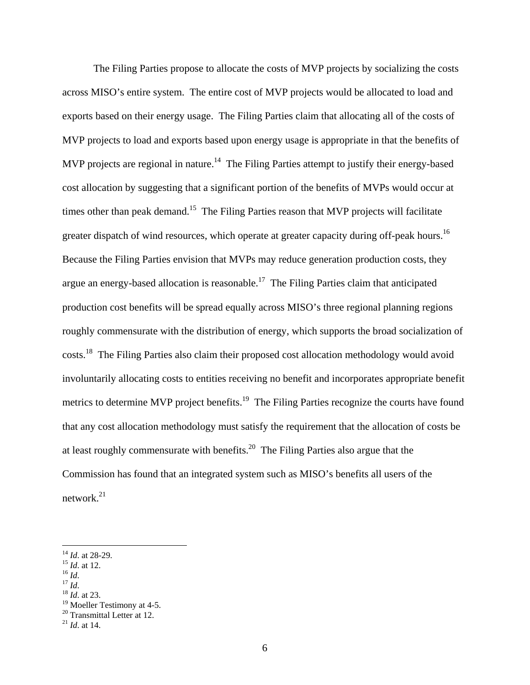The Filing Parties propose to allocate the costs of MVP projects by socializing the costs across MISO's entire system. The entire cost of MVP projects would be allocated to load and exports based on their energy usage. The Filing Parties claim that allocating all of the costs of MVP projects to load and exports based upon energy usage is appropriate in that the benefits of MVP projects are regional in nature.<sup>14</sup> The Filing Parties attempt to justify their energy-based cost allocation by suggesting that a significant portion of the benefits of MVPs would occur at times other than peak demand.<sup>15</sup> The Filing Parties reason that MVP projects will facilitate greater dispatch of wind resources, which operate at greater capacity during off-peak hours.<sup>16</sup> Because the Filing Parties envision that MVPs may reduce generation production costs, they argue an energy-based allocation is reasonable.<sup>17</sup> The Filing Parties claim that anticipated production cost benefits will be spread equally across MISO's three regional planning regions roughly commensurate with the distribution of energy, which supports the broad socialization of costs.18 The Filing Parties also claim their proposed cost allocation methodology would avoid involuntarily allocating costs to entities receiving no benefit and incorporates appropriate benefit metrics to determine MVP project benefits.<sup>19</sup> The Filing Parties recognize the courts have found that any cost allocation methodology must satisfy the requirement that the allocation of costs be at least roughly commensurate with benefits.20 The Filing Parties also argue that the Commission has found that an integrated system such as MISO's benefits all users of the network. $^{21}$ 

<sup>14</sup> *Id*. at 28-29. 15 *Id*. at 12. 16 *Id*. 17 *Id*. 18 *Id*. at 23.

<sup>&</sup>lt;sup>19</sup> Moeller Testimony at 4-5.  $20$  Transmittal Letter at 12.

<sup>21</sup> *Id*. at 14.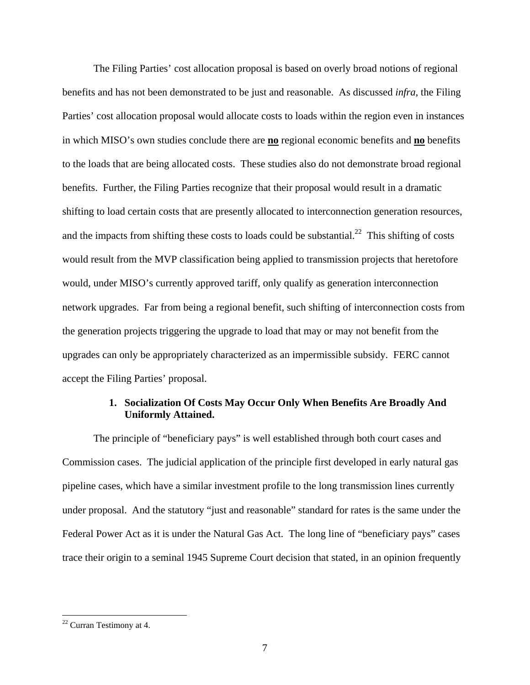The Filing Parties' cost allocation proposal is based on overly broad notions of regional benefits and has not been demonstrated to be just and reasonable. As discussed *infra*, the Filing Parties' cost allocation proposal would allocate costs to loads within the region even in instances in which MISO's own studies conclude there are **no** regional economic benefits and **no** benefits to the loads that are being allocated costs. These studies also do not demonstrate broad regional benefits. Further, the Filing Parties recognize that their proposal would result in a dramatic shifting to load certain costs that are presently allocated to interconnection generation resources, and the impacts from shifting these costs to loads could be substantial.<sup>22</sup> This shifting of costs would result from the MVP classification being applied to transmission projects that heretofore would, under MISO's currently approved tariff, only qualify as generation interconnection network upgrades. Far from being a regional benefit, such shifting of interconnection costs from the generation projects triggering the upgrade to load that may or may not benefit from the upgrades can only be appropriately characterized as an impermissible subsidy. FERC cannot accept the Filing Parties' proposal.

## **1. Socialization Of Costs May Occur Only When Benefits Are Broadly And Uniformly Attained.**

The principle of "beneficiary pays" is well established through both court cases and Commission cases. The judicial application of the principle first developed in early natural gas pipeline cases, which have a similar investment profile to the long transmission lines currently under proposal. And the statutory "just and reasonable" standard for rates is the same under the Federal Power Act as it is under the Natural Gas Act. The long line of "beneficiary pays" cases trace their origin to a seminal 1945 Supreme Court decision that stated, in an opinion frequently

 $22$  Curran Testimony at 4.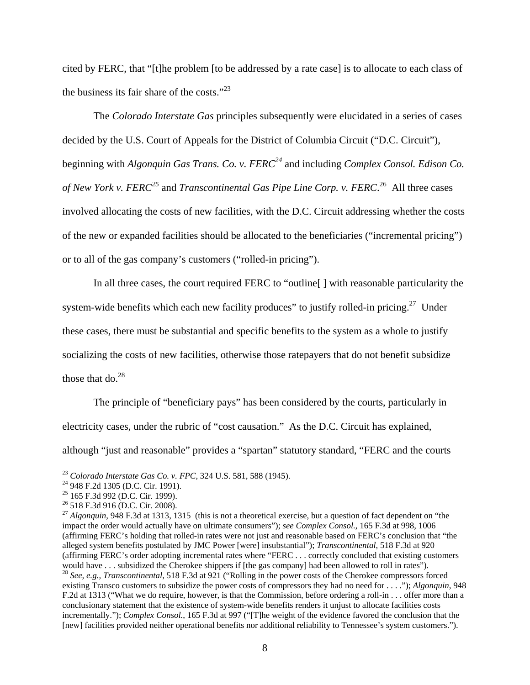cited by FERC, that "[t]he problem [to be addressed by a rate case] is to allocate to each class of the business its fair share of the costs." $^{23}$ 

The *Colorado Interstate Gas* principles subsequently were elucidated in a series of cases decided by the U.S. Court of Appeals for the District of Columbia Circuit ("D.C. Circuit"), beginning with *Algonquin Gas Trans. Co. v. FERC24* and including *Complex Consol. Edison Co. of New York v. FERC<sup>25</sup>* and *Transcontinental Gas Pipe Line Corp. v. FERC*. 26 All three cases involved allocating the costs of new facilities, with the D.C. Circuit addressing whether the costs of the new or expanded facilities should be allocated to the beneficiaries ("incremental pricing") or to all of the gas company's customers ("rolled-in pricing").

In all three cases, the court required FERC to "outline[ ] with reasonable particularity the system-wide benefits which each new facility produces" to justify rolled-in pricing.<sup>27</sup> Under these cases, there must be substantial and specific benefits to the system as a whole to justify socializing the costs of new facilities, otherwise those ratepayers that do not benefit subsidize those that do. $^{28}$ 

The principle of "beneficiary pays" has been considered by the courts, particularly in electricity cases, under the rubric of "cost causation." As the D.C. Circuit has explained, although "just and reasonable" provides a "spartan" statutory standard, "FERC and the courts

<sup>&</sup>lt;sup>23</sup> *Colorado Interstate Gas Co. v. FPC*, 324 U.S. 581, 588 (1945).<br><sup>24</sup> 948 F.2d 1305 (D.C. Cir. 1991).

<sup>25 165</sup> F.3d 992 (D.C. Cir. 1999).

<sup>26 518</sup> F.3d 916 (D.C. Cir. 2008).

<sup>27</sup> *Algonquin*, 948 F.3d at 1313, 1315 (this is not a theoretical exercise, but a question of fact dependent on "the impact the order would actually have on ultimate consumers"); *see Complex Consol.*, 165 F.3d at 998, 1006 (affirming FERC's holding that rolled-in rates were not just and reasonable based on FERC's conclusion that "the alleged system benefits postulated by JMC Power [were] insubstantial"); *Transcontinental*, 518 F.3d at 920 (affirming FERC's order adopting incremental rates where "FERC . . . correctly concluded that existing customers would have . . . subsidized the Cherokee shippers if [the gas company] had been allowed to roll in rates"). <sup>28</sup> *See, e.g., Transcontinental*, 518 F.3d at 921 ("Rolling in the power costs of the Cherokee compressors forced existing Transco customers to subsidize the power costs of compressors they had no need for . . . ."); *Algonquin*, 948 F.2d at 1313 ("What we do require, however, is that the Commission, before ordering a roll-in . . . offer more than a conclusionary statement that the existence of system-wide benefits renders it unjust to allocate facilities costs incrementally."); *Complex Consol.*, 165 F.3d at 997 ("[T]he weight of the evidence favored the conclusion that the [new] facilities provided neither operational benefits nor additional reliability to Tennessee's system customers.").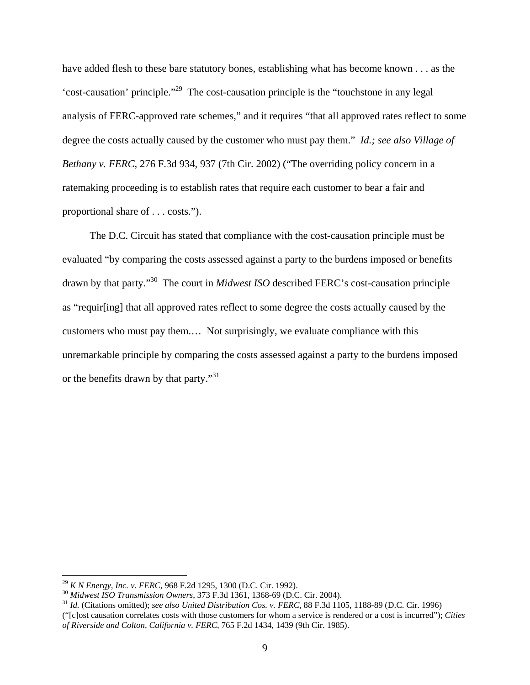have added flesh to these bare statutory bones, establishing what has become known . . . as the 'cost-causation' principle."29 The cost-causation principle is the "touchstone in any legal analysis of FERC-approved rate schemes," and it requires "that all approved rates reflect to some degree the costs actually caused by the customer who must pay them." *Id.; see also Village of Bethany v. FERC*, 276 F.3d 934, 937 (7th Cir. 2002) ("The overriding policy concern in a ratemaking proceeding is to establish rates that require each customer to bear a fair and proportional share of . . . costs.").

The D.C. Circuit has stated that compliance with the cost-causation principle must be evaluated "by comparing the costs assessed against a party to the burdens imposed or benefits drawn by that party."30 The court in *Midwest ISO* described FERC's cost-causation principle as "requir[ing] that all approved rates reflect to some degree the costs actually caused by the customers who must pay them.… Not surprisingly, we evaluate compliance with this unremarkable principle by comparing the costs assessed against a party to the burdens imposed or the benefits drawn by that party."<sup>31</sup>

<sup>&</sup>lt;sup>29</sup> K N Energy, Inc. v. FERC, 968 F.2d 1295, 1300 (D.C. Cir. 1992).<br><sup>30</sup> Midwest ISO Transmission Owners, 373 F.3d 1361, 1368-69 (D.C. Cir. 2004).<br><sup>31</sup> Id. (Citations omitted); *see also United Distribution Cos. v. FERC* 

<sup>(&</sup>quot;[c]ost causation correlates costs with those customers for whom a service is rendered or a cost is incurred"); *Cities of Riverside and Colton, California v. FERC*, 765 F.2d 1434, 1439 (9th Cir. 1985).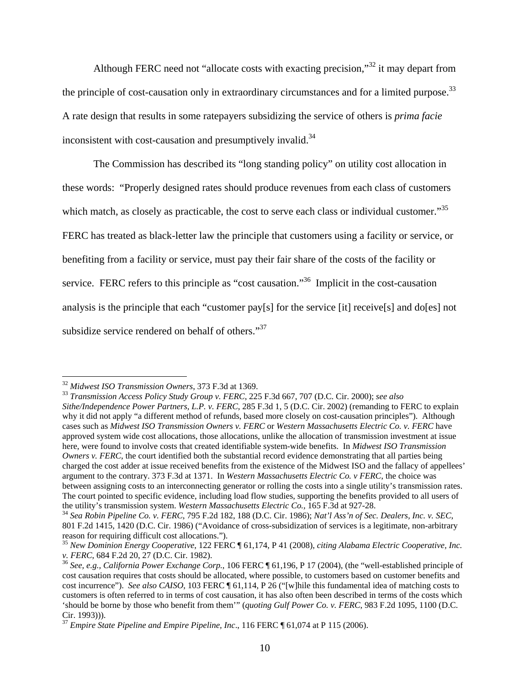Although FERC need not "allocate costs with exacting precision,"32 it may depart from the principle of cost-causation only in extraordinary circumstances and for a limited purpose.<sup>33</sup> A rate design that results in some ratepayers subsidizing the service of others is *prima facie* inconsistent with cost-causation and presumptively invalid. $34$ 

The Commission has described its "long standing policy" on utility cost allocation in these words: "Properly designed rates should produce revenues from each class of customers which match, as closely as practicable, the cost to serve each class or individual customer."<sup>35</sup> FERC has treated as black-letter law the principle that customers using a facility or service, or benefiting from a facility or service, must pay their fair share of the costs of the facility or service. FERC refers to this principle as "cost causation."<sup>36</sup> Implicit in the cost-causation analysis is the principle that each "customer pay[s] for the service [it] receive[s] and do[es] not subsidize service rendered on behalf of others."<sup>37</sup>

<sup>&</sup>lt;sup>32</sup> Midwest ISO Transmission Owners, 373 F.3d at 1369.

<sup>&</sup>lt;sup>33</sup> Transmission Access Policy Study Group v. FERC, 225 F.3d 667, 707 (D.C. Cir. 2000); see also *Sithe/Independence Power Partners, L.P. v. FERC*, 285 F.3d 1, 5 (D.C. Cir. 2002) (remanding to FERC to explain why it did not apply "a different method of refunds, based more closely on cost-causation principles"). Although cases such as *Midwest ISO Transmission Owners v. FERC* or *Western Massachusetts Electric Co. v. FERC* have approved system wide cost allocations, those allocations, unlike the allocation of transmission investment at issue here, were found to involve costs that created identifiable system-wide benefits. In *Midwest ISO Transmission Owners v. FERC*, the court identified both the substantial record evidence demonstrating that all parties being charged the cost adder at issue received benefits from the existence of the Midwest ISO and the fallacy of appellees' argument to the contrary. 373 F.3d at 1371. In *Western Massachusetts Electric Co. v FERC*, the choice was between assigning costs to an interconnecting generator or rolling the costs into a single utility's transmission rates. The court pointed to specific evidence, including load flow studies, supporting the benefits provided to all users of the utility's transmission system. Western Massachusetts Electric Co., 165 F.3d at 927-28.

the utility's transmission system. *Western Massachusetts Electric Co.,* 165 F.3d at 927-28. 34 *Sea Robin Pipeline Co. v. FERC*, 795 F.2d 182, 188 (D.C. Cir. 1986); *Nat'l Ass'n of Sec. Dealers, Inc. v. SEC*, 801 F.2d 1415, 1420 (D.C. Cir. 1986) ("Avoidance of cross-subsidization of services is a legitimate, non-arbitrary reason for requiring difficult cost allocations.").

<sup>35</sup> *New Dominion Energy Cooperative*, 122 FERC ¶ 61,174, P 41 (2008), *citing Alabama Electric Cooperative, Inc.* 

<sup>&</sup>lt;sup>36</sup> See, e.g., California Power Exchange Corp., 106 FERC ¶ 61,196, P 17 (2004), (the "well-established principle of cost causation requires that costs should be allocated, where possible, to customers based on customer benefits and cost incurrence"). *See also CAISO*, 103 FERC ¶ 61,114, P 26 ("[w]hile this fundamental idea of matching costs to customers is often referred to in terms of cost causation, it has also often been described in terms of the costs which 'should be borne by those who benefit from them'" (*quoting Gulf Power Co. v. FERC*, 983 F.2d 1095, 1100 (D.C.

<sup>&</sup>lt;sup>37</sup> *Empire State Pipeline and Empire Pipeline, Inc.,* 116 FERC ¶ 61,074 at P 115 (2006).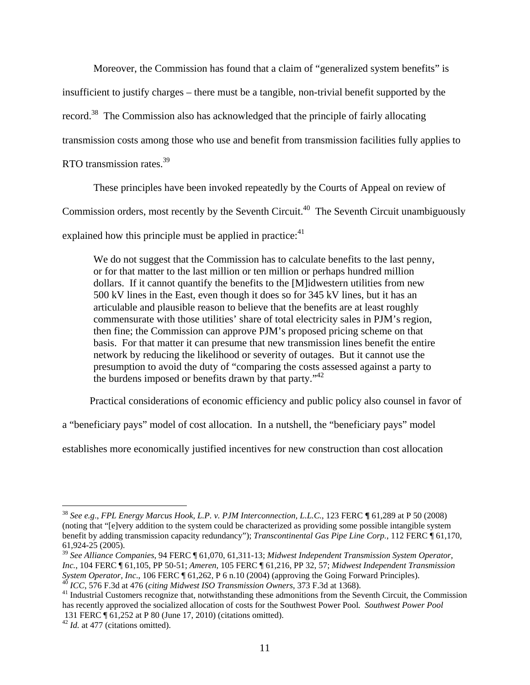Moreover, the Commission has found that a claim of "generalized system benefits" is

insufficient to justify charges – there must be a tangible, non-trivial benefit supported by the

record.<sup>38</sup> The Commission also has acknowledged that the principle of fairly allocating

transmission costs among those who use and benefit from transmission facilities fully applies to

RTO transmission rates.39

These principles have been invoked repeatedly by the Courts of Appeal on review of

Commission orders, most recently by the Seventh Circuit.<sup>40</sup> The Seventh Circuit unambiguously

explained how this principle must be applied in practice: $41$ 

We do not suggest that the Commission has to calculate benefits to the last penny, or for that matter to the last million or ten million or perhaps hundred million dollars. If it cannot quantify the benefits to the [M]idwestern utilities from new 500 kV lines in the East, even though it does so for 345 kV lines, but it has an articulable and plausible reason to believe that the benefits are at least roughly commensurate with those utilities' share of total electricity sales in PJM's region, then fine; the Commission can approve PJM's proposed pricing scheme on that basis. For that matter it can presume that new transmission lines benefit the entire network by reducing the likelihood or severity of outages. But it cannot use the presumption to avoid the duty of "comparing the costs assessed against a party to the burdens imposed or benefits drawn by that party. $142$ 

Practical considerations of economic efficiency and public policy also counsel in favor of

a "beneficiary pays" model of cost allocation. In a nutshell, the "beneficiary pays" model

establishes more economically justified incentives for new construction than cost allocation

<sup>38</sup> *See e.g*., *FPL Energy Marcus Hook, L.P. v. PJM Interconnection, L.L.C.*, 123 FERC **¶** 61,289 at P 50 (2008) (noting that "[e]very addition to the system could be characterized as providing some possible intangible system benefit by adding transmission capacity redundancy"); *Transcontinental Gas Pipe Line Corp.*, 112 FERC ¶ 61,170, 61,924-25 (2005). 39 *See Alliance Companies*, 94 FERC ¶ 61,070, 61,311-13; *Midwest Independent Transmission System Operator,* 

*Inc.*, 104 FERC ¶ 61,105, PP 50-51; *Ameren*, 105 FERC ¶ 61,216, PP 32, 57; *Midwest Independent Transmission System Operator, Inc.*, 106 FERC ¶ 61,262, P 6 n.10 (2004) (approving the Going Forward Principles).

<sup>&</sup>lt;sup>40</sup> *ICC*, 576 F.3d at 476 (citing *Midwest ISO Transmission Owners*, 373 F.3d at 1368).<br><sup>41</sup> Industrial Customers recognize that, notwithstanding these admonitions from the Seventh Circuit, the Commission has recently approved the socialized allocation of costs for the Southwest Power Pool*. Southwest Power Pool* 131 FERC ¶ 61,252 at P 80 (June 17, 2010) (citations omitted).

<sup>&</sup>lt;sup>42</sup> *Id.* at 477 (citations omitted).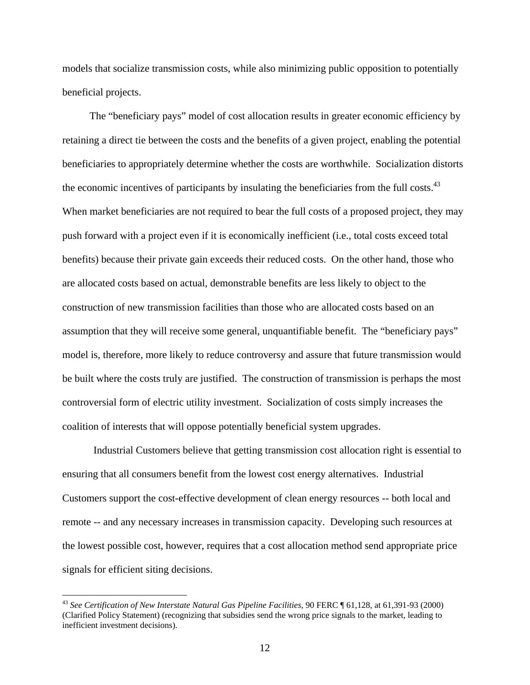models that socialize transmission costs, while also minimizing public opposition to potentially beneficial projects.

The "beneficiary pays" model of cost allocation results in greater economic efficiency by retaining a direct tie between the costs and the benefits of a given project, enabling the potential beneficiaries to appropriately determine whether the costs are worthwhile. Socialization distorts the economic incentives of participants by insulating the beneficiaries from the full costs. $43$ When market beneficiaries are not required to bear the full costs of a proposed project, they may push forward with a project even if it is economically inefficient (i.e., total costs exceed total benefits) because their private gain exceeds their reduced costs. On the other hand, those who are allocated costs based on actual, demonstrable benefits are less likely to object to the construction of new transmission facilities than those who are allocated costs based on an assumption that they will receive some general, unquantifiable benefit. The "beneficiary pays" model is, therefore, more likely to reduce controversy and assure that future transmission would be built where the costs truly are justified. The construction of transmission is perhaps the most controversial form of electric utility investment. Socialization of costs simply increases the coalition of interests that will oppose potentially beneficial system upgrades.

Industrial Customers believe that getting transmission cost allocation right is essential to ensuring that all consumers benefit from the lowest cost energy alternatives. Industrial Customers support the cost-effective development of clean energy resources -- both local and remote -- and any necessary increases in transmission capacity. Developing such resources at the lowest possible cost, however, requires that a cost allocation method send appropriate price signals for efficient siting decisions.

<sup>43</sup> *See Certification of New Interstate Natural Gas Pipeline Facilities*, 90 FERC ¶ 61,128, at 61,391-93 (2000) (Clarified Policy Statement) (recognizing that subsidies send the wrong price signals to the market, leading to inefficient investment decisions).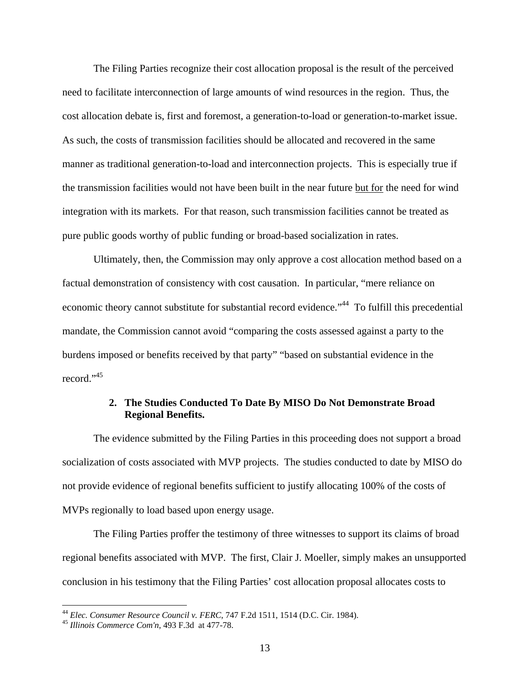The Filing Parties recognize their cost allocation proposal is the result of the perceived need to facilitate interconnection of large amounts of wind resources in the region. Thus, the cost allocation debate is, first and foremost, a generation-to-load or generation-to-market issue. As such, the costs of transmission facilities should be allocated and recovered in the same manner as traditional generation-to-load and interconnection projects. This is especially true if the transmission facilities would not have been built in the near future but for the need for wind integration with its markets. For that reason, such transmission facilities cannot be treated as pure public goods worthy of public funding or broad-based socialization in rates.

Ultimately, then, the Commission may only approve a cost allocation method based on a factual demonstration of consistency with cost causation. In particular, "mere reliance on economic theory cannot substitute for substantial record evidence."<sup>44</sup> To fulfill this precedential mandate, the Commission cannot avoid "comparing the costs assessed against a party to the burdens imposed or benefits received by that party" "based on substantial evidence in the record."<sup>45</sup>

## **2. The Studies Conducted To Date By MISO Do Not Demonstrate Broad Regional Benefits.**

The evidence submitted by the Filing Parties in this proceeding does not support a broad socialization of costs associated with MVP projects. The studies conducted to date by MISO do not provide evidence of regional benefits sufficient to justify allocating 100% of the costs of MVPs regionally to load based upon energy usage.

The Filing Parties proffer the testimony of three witnesses to support its claims of broad regional benefits associated with MVP. The first, Clair J. Moeller, simply makes an unsupported conclusion in his testimony that the Filing Parties' cost allocation proposal allocates costs to

<u>.</u>

<sup>44</sup> *Elec. Consumer Resource Council v. FERC*, 747 F.2d 1511, 1514 (D.C. Cir. 1984). 45 *Illinois Commerce Com'n*, 493 F.3dat 477-78.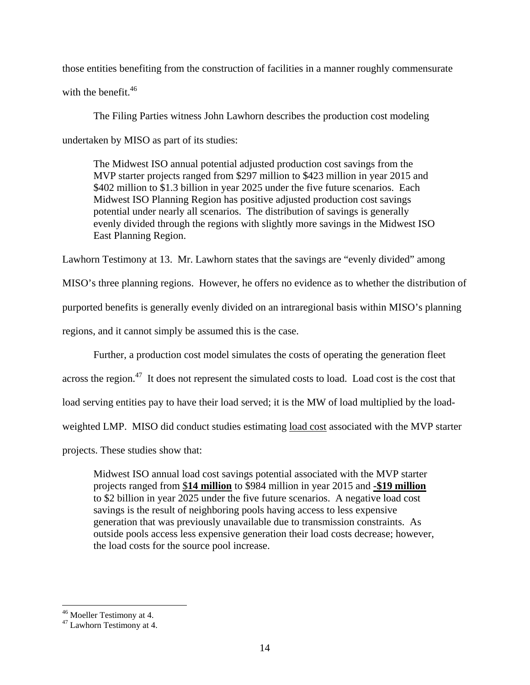those entities benefiting from the construction of facilities in a manner roughly commensurate with the benefit.<sup>46</sup>

The Filing Parties witness John Lawhorn describes the production cost modeling undertaken by MISO as part of its studies:

The Midwest ISO annual potential adjusted production cost savings from the MVP starter projects ranged from \$297 million to \$423 million in year 2015 and \$402 million to \$1.3 billion in year 2025 under the five future scenarios. Each Midwest ISO Planning Region has positive adjusted production cost savings potential under nearly all scenarios. The distribution of savings is generally evenly divided through the regions with slightly more savings in the Midwest ISO East Planning Region.

Lawhorn Testimony at 13. Mr. Lawhorn states that the savings are "evenly divided" among

MISO's three planning regions. However, he offers no evidence as to whether the distribution of

purported benefits is generally evenly divided on an intraregional basis within MISO's planning

regions, and it cannot simply be assumed this is the case.

Further, a production cost model simulates the costs of operating the generation fleet

across the region.<sup>47</sup> It does not represent the simulated costs to load. Load cost is the cost that

load serving entities pay to have their load served; it is the MW of load multiplied by the load-

weighted LMP. MISO did conduct studies estimating load cost associated with the MVP starter

projects. These studies show that:

Midwest ISO annual load cost savings potential associated with the MVP starter projects ranged from \$**14 million** to \$984 million in year 2015 and **-\$19 million** to \$2 billion in year 2025 under the five future scenarios. A negative load cost savings is the result of neighboring pools having access to less expensive generation that was previously unavailable due to transmission constraints. As outside pools access less expensive generation their load costs decrease; however, the load costs for the source pool increase.

 $\overline{a}$ 46 Moeller Testimony at 4.

<sup>47</sup> Lawhorn Testimony at 4.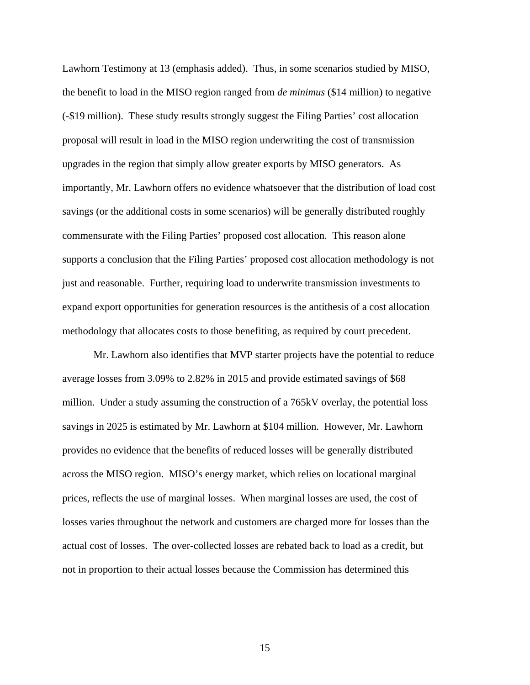Lawhorn Testimony at 13 (emphasis added). Thus, in some scenarios studied by MISO, the benefit to load in the MISO region ranged from *de minimus* (\$14 million) to negative (-\$19 million). These study results strongly suggest the Filing Parties' cost allocation proposal will result in load in the MISO region underwriting the cost of transmission upgrades in the region that simply allow greater exports by MISO generators. As importantly, Mr. Lawhorn offers no evidence whatsoever that the distribution of load cost savings (or the additional costs in some scenarios) will be generally distributed roughly commensurate with the Filing Parties' proposed cost allocation. This reason alone supports a conclusion that the Filing Parties' proposed cost allocation methodology is not just and reasonable. Further, requiring load to underwrite transmission investments to expand export opportunities for generation resources is the antithesis of a cost allocation methodology that allocates costs to those benefiting, as required by court precedent.

 Mr. Lawhorn also identifies that MVP starter projects have the potential to reduce average losses from 3.09% to 2.82% in 2015 and provide estimated savings of \$68 million. Under a study assuming the construction of a 765kV overlay, the potential loss savings in 2025 is estimated by Mr. Lawhorn at \$104 million. However, Mr. Lawhorn provides no evidence that the benefits of reduced losses will be generally distributed across the MISO region. MISO's energy market, which relies on locational marginal prices, reflects the use of marginal losses. When marginal losses are used, the cost of losses varies throughout the network and customers are charged more for losses than the actual cost of losses. The over-collected losses are rebated back to load as a credit, but not in proportion to their actual losses because the Commission has determined this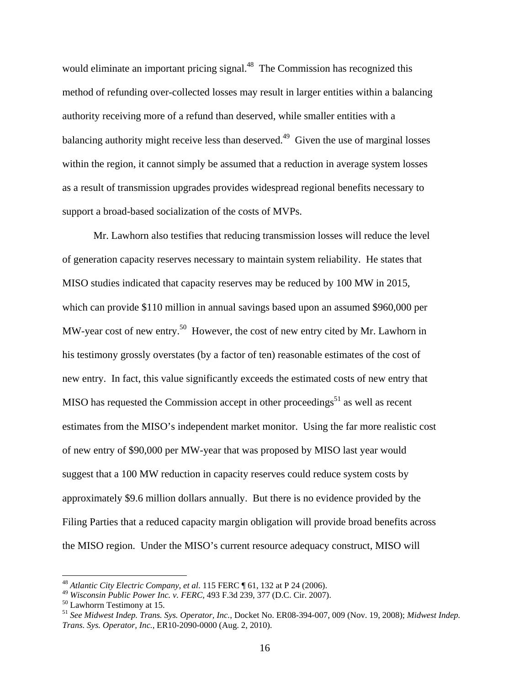would eliminate an important pricing signal.<sup>48</sup> The Commission has recognized this method of refunding over-collected losses may result in larger entities within a balancing authority receiving more of a refund than deserved, while smaller entities with a balancing authority might receive less than deserved.<sup>49</sup> Given the use of marginal losses within the region, it cannot simply be assumed that a reduction in average system losses as a result of transmission upgrades provides widespread regional benefits necessary to support a broad-based socialization of the costs of MVPs.

 Mr. Lawhorn also testifies that reducing transmission losses will reduce the level of generation capacity reserves necessary to maintain system reliability. He states that MISO studies indicated that capacity reserves may be reduced by 100 MW in 2015, which can provide \$110 million in annual savings based upon an assumed \$960,000 per MW-year cost of new entry.<sup>50</sup> However, the cost of new entry cited by Mr. Lawhorn in his testimony grossly overstates (by a factor of ten) reasonable estimates of the cost of new entry. In fact, this value significantly exceeds the estimated costs of new entry that MISO has requested the Commission accept in other proceedings<sup>51</sup> as well as recent estimates from the MISO's independent market monitor. Using the far more realistic cost of new entry of \$90,000 per MW-year that was proposed by MISO last year would suggest that a 100 MW reduction in capacity reserves could reduce system costs by approximately \$9.6 million dollars annually. But there is no evidence provided by the Filing Parties that a reduced capacity margin obligation will provide broad benefits across the MISO region. Under the MISO's current resource adequacy construct, MISO will

<sup>48</sup> *Atlantic City Electric Company*, *et al*. 115 FERC ¶ 61, 132 at P 24 (2006).

<sup>&</sup>lt;sup>49</sup> *Wisconsin Public Power Inc. v. FERC*, 493 F.3d 239, 377 (D.C. Cir. 2007).<br><sup>50</sup> Lawhorrn Testimony at 15.

<sup>51</sup> *See Midwest Indep. Trans. Sys. Operator, Inc.*, Docket No. ER08-394-007, 009 (Nov. 19, 2008); *Midwest Indep. Trans. Sys. Operator, Inc.*, ER10-2090-0000 (Aug. 2, 2010).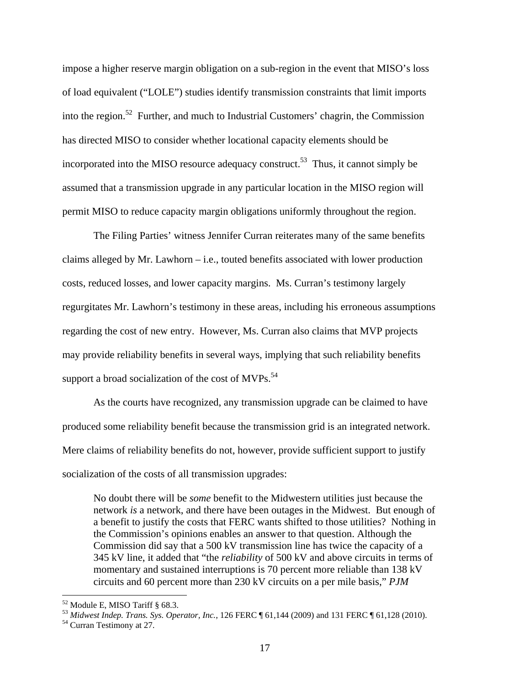impose a higher reserve margin obligation on a sub-region in the event that MISO's loss of load equivalent ("LOLE") studies identify transmission constraints that limit imports into the region.<sup>52</sup> Further, and much to Industrial Customers' chagrin, the Commission has directed MISO to consider whether locational capacity elements should be incorporated into the MISO resource adequacy construct.<sup>53</sup> Thus, it cannot simply be assumed that a transmission upgrade in any particular location in the MISO region will permit MISO to reduce capacity margin obligations uniformly throughout the region.

 The Filing Parties' witness Jennifer Curran reiterates many of the same benefits claims alleged by Mr. Lawhorn – i.e., touted benefits associated with lower production costs, reduced losses, and lower capacity margins. Ms. Curran's testimony largely regurgitates Mr. Lawhorn's testimony in these areas, including his erroneous assumptions regarding the cost of new entry. However, Ms. Curran also claims that MVP projects may provide reliability benefits in several ways, implying that such reliability benefits support a broad socialization of the cost of  $MVPs$ .<sup>54</sup>

 As the courts have recognized, any transmission upgrade can be claimed to have produced some reliability benefit because the transmission grid is an integrated network. Mere claims of reliability benefits do not, however, provide sufficient support to justify socialization of the costs of all transmission upgrades:

No doubt there will be *some* benefit to the Midwestern utilities just because the network *is* a network, and there have been outages in the Midwest. But enough of a benefit to justify the costs that FERC wants shifted to those utilities? Nothing in the Commission's opinions enables an answer to that question. Although the Commission did say that a 500 kV transmission line has twice the capacity of a 345 kV line, it added that "the *reliability* of 500 kV and above circuits in terms of momentary and sustained interruptions is 70 percent more reliable than 138 kV circuits and 60 percent more than 230 kV circuits on a per mile basis," *PJM* 

<sup>52</sup> Module E, MISO Tariff § 68.3.

<sup>&</sup>lt;sup>53</sup> *Midwest Indep. Trans. Sys. Operator, Inc.*, 126 FERC  $\parallel$  61,144 (2009) and 131 FERC  $\parallel$  61,128 (2010).<br><sup>54</sup> Curran Testimony at 27.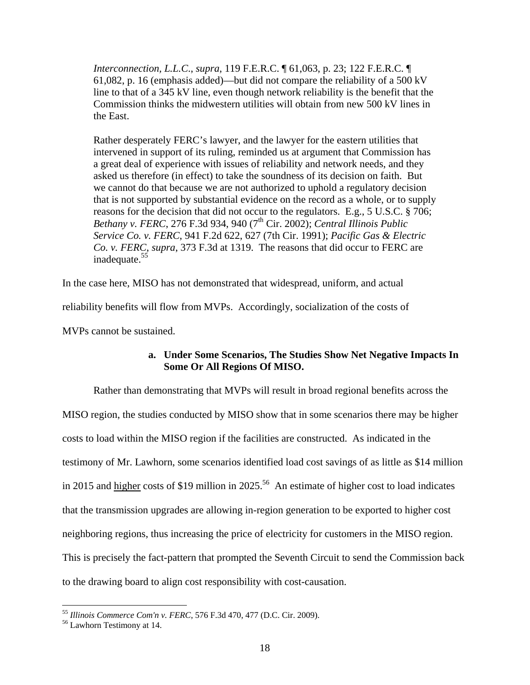*Interconnection, L.L.C*., *supra*, 119 F.E.R.C. ¶ 61,063, p. 23; 122 F.E.R.C. ¶ 61,082, p. 16 (emphasis added)—but did not compare the reliability of a 500 kV line to that of a 345 kV line, even though network reliability is the benefit that the Commission thinks the midwestern utilities will obtain from new 500 kV lines in the East.

Rather desperately FERC's lawyer, and the lawyer for the eastern utilities that intervened in support of its ruling, reminded us at argument that Commission has a great deal of experience with issues of reliability and network needs, and they asked us therefore (in effect) to take the soundness of its decision on faith. But we cannot do that because we are not authorized to uphold a regulatory decision that is not supported by substantial evidence on the record as a whole, or to supply reasons for the decision that did not occur to the regulators. E.g., 5 U.S.C. § 706; *Bethany v. FERC*, 276 F.3d 934, 940 (7<sup>th</sup> Cir. 2002); *Central Illinois Public Service Co. v. FERC*, 941 F.2d 622, 627 (7th Cir. 1991); *Pacific Gas & Electric Co. v. FERC*, *supra*, 373 F.3d at 1319. The reasons that did occur to FERC are inadequate.<sup>55</sup>

In the case here, MISO has not demonstrated that widespread, uniform, and actual

reliability benefits will flow from MVPs. Accordingly, socialization of the costs of

MVPs cannot be sustained.

# **a. Under Some Scenarios, The Studies Show Net Negative Impacts In Some Or All Regions Of MISO.**

Rather than demonstrating that MVPs will result in broad regional benefits across the MISO region, the studies conducted by MISO show that in some scenarios there may be higher costs to load within the MISO region if the facilities are constructed. As indicated in the testimony of Mr. Lawhorn, some scenarios identified load cost savings of as little as \$14 million in 2015 and higher costs of \$19 million in 2025.<sup>56</sup> An estimate of higher cost to load indicates that the transmission upgrades are allowing in-region generation to be exported to higher cost neighboring regions, thus increasing the price of electricity for customers in the MISO region. This is precisely the fact-pattern that prompted the Seventh Circuit to send the Commission back to the drawing board to align cost responsibility with cost-causation.

<sup>&</sup>lt;sup>55</sup> Illinois Commerce Com'n v. FERC, 576 F.3d 470, 477 (D.C. Cir. 2009).<br><sup>56</sup> Lawhorn Testimony at 14.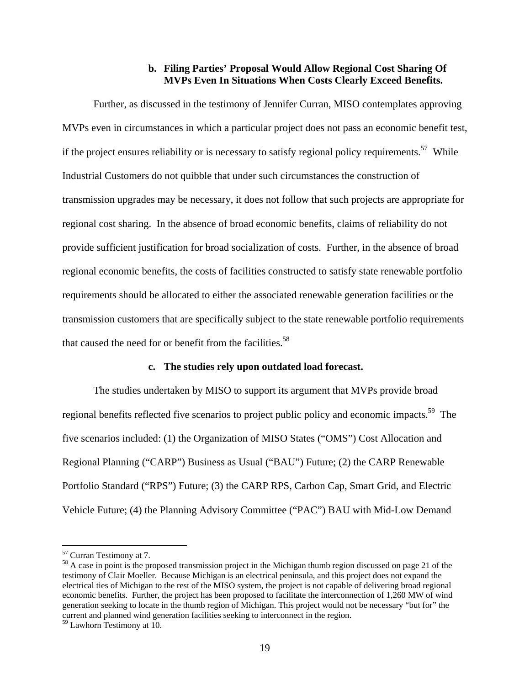### **b. Filing Parties' Proposal Would Allow Regional Cost Sharing Of MVPs Even In Situations When Costs Clearly Exceed Benefits.**

Further, as discussed in the testimony of Jennifer Curran, MISO contemplates approving MVPs even in circumstances in which a particular project does not pass an economic benefit test, if the project ensures reliability or is necessary to satisfy regional policy requirements.<sup>57</sup> While Industrial Customers do not quibble that under such circumstances the construction of transmission upgrades may be necessary, it does not follow that such projects are appropriate for regional cost sharing. In the absence of broad economic benefits, claims of reliability do not provide sufficient justification for broad socialization of costs. Further, in the absence of broad regional economic benefits, the costs of facilities constructed to satisfy state renewable portfolio requirements should be allocated to either the associated renewable generation facilities or the transmission customers that are specifically subject to the state renewable portfolio requirements that caused the need for or benefit from the facilities.<sup>58</sup>

### **c. The studies rely upon outdated load forecast.**

The studies undertaken by MISO to support its argument that MVPs provide broad regional benefits reflected five scenarios to project public policy and economic impacts.<sup>59</sup> The five scenarios included: (1) the Organization of MISO States ("OMS") Cost Allocation and Regional Planning ("CARP") Business as Usual ("BAU") Future; (2) the CARP Renewable Portfolio Standard ("RPS") Future; (3) the CARP RPS, Carbon Cap, Smart Grid, and Electric Vehicle Future; (4) the Planning Advisory Committee ("PAC") BAU with Mid-Low Demand

<u>.</u>

<sup>57</sup> Curran Testimony at 7.

<sup>&</sup>lt;sup>58</sup> A case in point is the proposed transmission project in the Michigan thumb region discussed on page 21 of the testimony of Clair Moeller. Because Michigan is an electrical peninsula, and this project does not expand the electrical ties of Michigan to the rest of the MISO system, the project is not capable of delivering broad regional economic benefits. Further, the project has been proposed to facilitate the interconnection of 1,260 MW of wind generation seeking to locate in the thumb region of Michigan. This project would not be necessary "but for" the current and planned wind generation facilities seeking to interconnect in the region.

<sup>59</sup> Lawhorn Testimony at 10.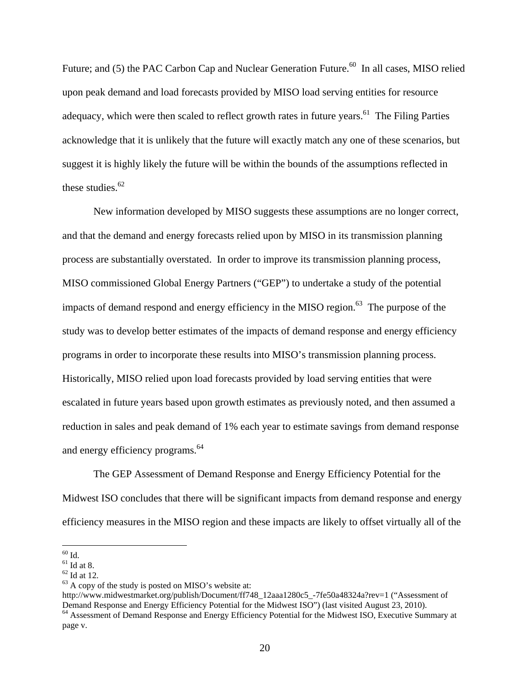Future; and (5) the PAC Carbon Cap and Nuclear Generation Future.<sup>60</sup> In all cases, MISO relied upon peak demand and load forecasts provided by MISO load serving entities for resource adequacy, which were then scaled to reflect growth rates in future years.<sup>61</sup> The Filing Parties acknowledge that it is unlikely that the future will exactly match any one of these scenarios, but suggest it is highly likely the future will be within the bounds of the assumptions reflected in these studies.<sup>62</sup>

New information developed by MISO suggests these assumptions are no longer correct, and that the demand and energy forecasts relied upon by MISO in its transmission planning process are substantially overstated. In order to improve its transmission planning process, MISO commissioned Global Energy Partners ("GEP") to undertake a study of the potential impacts of demand respond and energy efficiency in the MISO region. $^{63}$  The purpose of the study was to develop better estimates of the impacts of demand response and energy efficiency programs in order to incorporate these results into MISO's transmission planning process. Historically, MISO relied upon load forecasts provided by load serving entities that were escalated in future years based upon growth estimates as previously noted, and then assumed a reduction in sales and peak demand of 1% each year to estimate savings from demand response and energy efficiency programs.<sup>64</sup>

The GEP Assessment of Demand Response and Energy Efficiency Potential for the Midwest ISO concludes that there will be significant impacts from demand response and energy efficiency measures in the MISO region and these impacts are likely to offset virtually all of the

 $\overline{a}$  $60$  Id.

 $^{\rm 61}$  Id at 8.

 $62$  Id at 12.

 $63$  A copy of the study is posted on MISO's website at:

http://www.midwestmarket.org/publish/Document/ff748\_12aaa1280c5\_-7fe50a48324a?rev=1 ("Assessment of Demand Response and Energy Efficiency Potential for the Midwest ISO") (last visited August 23, 2010).<br><sup>64</sup> Assessment of Demand Response and Energy Efficiency Potential for the Midwest ISO, Executive Summary at

page v.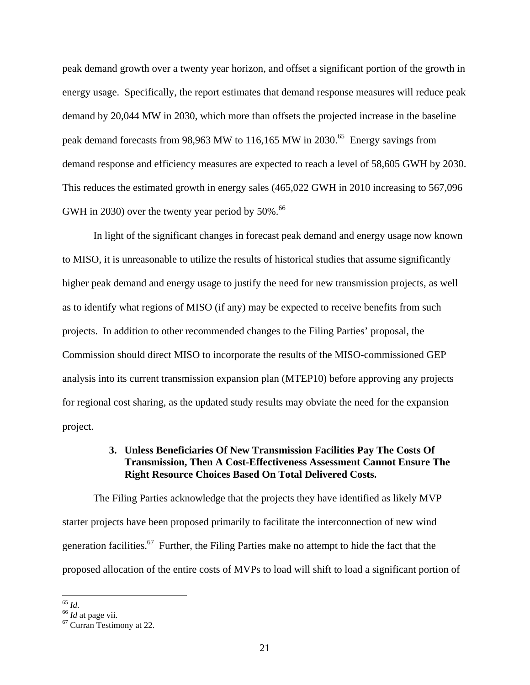peak demand growth over a twenty year horizon, and offset a significant portion of the growth in energy usage. Specifically, the report estimates that demand response measures will reduce peak demand by 20,044 MW in 2030, which more than offsets the projected increase in the baseline peak demand forecasts from 98,963 MW to 116,165 MW in 2030.<sup>65</sup> Energy savings from demand response and efficiency measures are expected to reach a level of 58,605 GWH by 2030. This reduces the estimated growth in energy sales (465,022 GWH in 2010 increasing to 567,096 GWH in 2030) over the twenty year period by  $50\%$ .<sup>66</sup>

In light of the significant changes in forecast peak demand and energy usage now known to MISO, it is unreasonable to utilize the results of historical studies that assume significantly higher peak demand and energy usage to justify the need for new transmission projects, as well as to identify what regions of MISO (if any) may be expected to receive benefits from such projects. In addition to other recommended changes to the Filing Parties' proposal, the Commission should direct MISO to incorporate the results of the MISO-commissioned GEP analysis into its current transmission expansion plan (MTEP10) before approving any projects for regional cost sharing, as the updated study results may obviate the need for the expansion project.

# **3. Unless Beneficiaries Of New Transmission Facilities Pay The Costs Of Transmission, Then A Cost-Effectiveness Assessment Cannot Ensure The Right Resource Choices Based On Total Delivered Costs.**

The Filing Parties acknowledge that the projects they have identified as likely MVP starter projects have been proposed primarily to facilitate the interconnection of new wind generation facilities.<sup>67</sup> Further, the Filing Parties make no attempt to hide the fact that the proposed allocation of the entire costs of MVPs to load will shift to load a significant portion of

 $65$   $Id$ .

<sup>&</sup>lt;sup>66</sup> *Id* at page vii.<br><sup>67</sup> Curran Testimony at 22.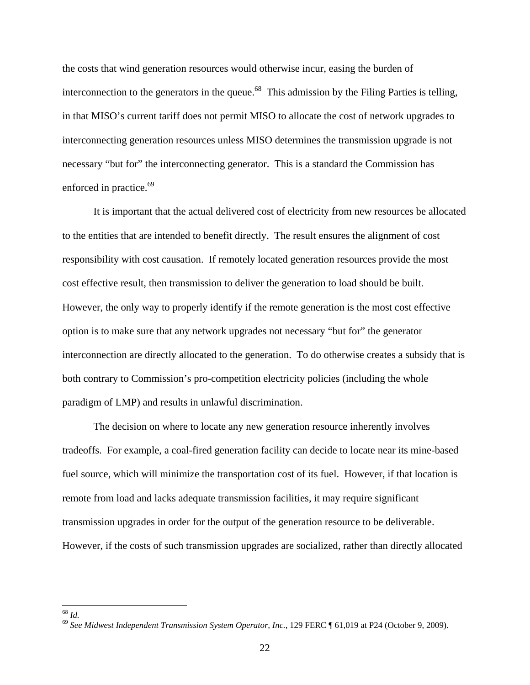the costs that wind generation resources would otherwise incur, easing the burden of interconnection to the generators in the queue.<sup>68</sup> This admission by the Filing Parties is telling, in that MISO's current tariff does not permit MISO to allocate the cost of network upgrades to interconnecting generation resources unless MISO determines the transmission upgrade is not necessary "but for" the interconnecting generator. This is a standard the Commission has enforced in practice.<sup>69</sup>

It is important that the actual delivered cost of electricity from new resources be allocated to the entities that are intended to benefit directly. The result ensures the alignment of cost responsibility with cost causation. If remotely located generation resources provide the most cost effective result, then transmission to deliver the generation to load should be built. However, the only way to properly identify if the remote generation is the most cost effective option is to make sure that any network upgrades not necessary "but for" the generator interconnection are directly allocated to the generation. To do otherwise creates a subsidy that is both contrary to Commission's pro-competition electricity policies (including the whole paradigm of LMP) and results in unlawful discrimination.

The decision on where to locate any new generation resource inherently involves tradeoffs. For example, a coal-fired generation facility can decide to locate near its mine-based fuel source, which will minimize the transportation cost of its fuel. However, if that location is remote from load and lacks adequate transmission facilities, it may require significant transmission upgrades in order for the output of the generation resource to be deliverable. However, if the costs of such transmission upgrades are socialized, rather than directly allocated

 $^{68}$   $\mathit{Id.}$ 

<sup>68</sup> *Id.* 69 *See Midwest Independent Transmission System Operator, Inc.*, 129 FERC ¶ 61,019 at P24 (October 9, 2009).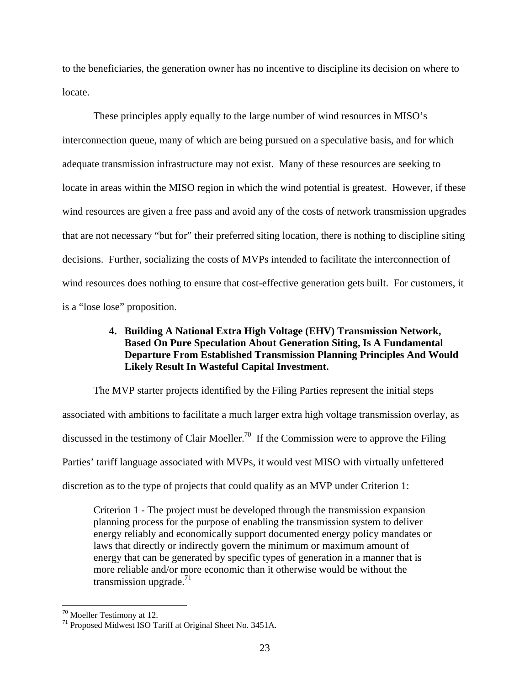to the beneficiaries, the generation owner has no incentive to discipline its decision on where to locate.

These principles apply equally to the large number of wind resources in MISO's interconnection queue, many of which are being pursued on a speculative basis, and for which adequate transmission infrastructure may not exist. Many of these resources are seeking to locate in areas within the MISO region in which the wind potential is greatest. However, if these wind resources are given a free pass and avoid any of the costs of network transmission upgrades that are not necessary "but for" their preferred siting location, there is nothing to discipline siting decisions. Further, socializing the costs of MVPs intended to facilitate the interconnection of wind resources does nothing to ensure that cost-effective generation gets built. For customers, it is a "lose lose" proposition.

# **4. Building A National Extra High Voltage (EHV) Transmission Network, Based On Pure Speculation About Generation Siting, Is A Fundamental Departure From Established Transmission Planning Principles And Would Likely Result In Wasteful Capital Investment.**

The MVP starter projects identified by the Filing Parties represent the initial steps associated with ambitions to facilitate a much larger extra high voltage transmission overlay, as discussed in the testimony of Clair Moeller.<sup>70</sup> If the Commission were to approve the Filing Parties' tariff language associated with MVPs, it would vest MISO with virtually unfettered discretion as to the type of projects that could qualify as an MVP under Criterion 1:

Criterion 1 - The project must be developed through the transmission expansion planning process for the purpose of enabling the transmission system to deliver energy reliably and economically support documented energy policy mandates or laws that directly or indirectly govern the minimum or maximum amount of energy that can be generated by specific types of generation in a manner that is more reliable and/or more economic than it otherwise would be without the transmission upgrade.<sup>71</sup>

<sup>&</sup>lt;sup>70</sup> Moeller Testimony at 12.

<sup>71</sup> Proposed Midwest ISO Tariff at Original Sheet No. 3451A.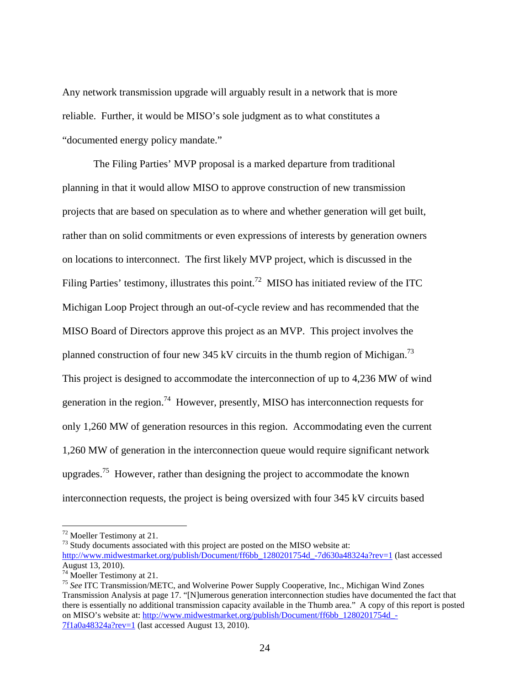Any network transmission upgrade will arguably result in a network that is more reliable. Further, it would be MISO's sole judgment as to what constitutes a "documented energy policy mandate."

 The Filing Parties' MVP proposal is a marked departure from traditional planning in that it would allow MISO to approve construction of new transmission projects that are based on speculation as to where and whether generation will get built, rather than on solid commitments or even expressions of interests by generation owners on locations to interconnect. The first likely MVP project, which is discussed in the Filing Parties' testimony, illustrates this point.<sup>72</sup> MISO has initiated review of the ITC Michigan Loop Project through an out-of-cycle review and has recommended that the MISO Board of Directors approve this project as an MVP. This project involves the planned construction of four new 345 kV circuits in the thumb region of Michigan.<sup>73</sup> This project is designed to accommodate the interconnection of up to 4,236 MW of wind generation in the region.<sup>74</sup> However, presently, MISO has interconnection requests for only 1,260 MW of generation resources in this region. Accommodating even the current 1,260 MW of generation in the interconnection queue would require significant network upgrades.<sup>75</sup> However, rather than designing the project to accommodate the known interconnection requests, the project is being oversized with four 345 kV circuits based

 $\overline{a}$ 

<sup>73</sup> Study documents associated with this project are posted on the MISO website at:

<sup>72</sup> Moeller Testimony at 21.

http://www.midwestmarket.org/publish/Document/ff6bb\_1280201754d\_-7d630a48324a?rev=1 (last accessed August 13, 2010).

<sup>74</sup> Moeller Testimony at 21.

<sup>75</sup> *See* ITC Transmission/METC, and Wolverine Power Supply Cooperative, Inc., Michigan Wind Zones Transmission Analysis at page 17. "[N]umerous generation interconnection studies have documented the fact that there is essentially no additional transmission capacity available in the Thumb area." A copy of this report is posted on MISO's website at: http://www.midwestmarket.org/publish/Document/ff6bb\_1280201754d\_-7f1a0a48324a?rev=1 (last accessed August 13, 2010).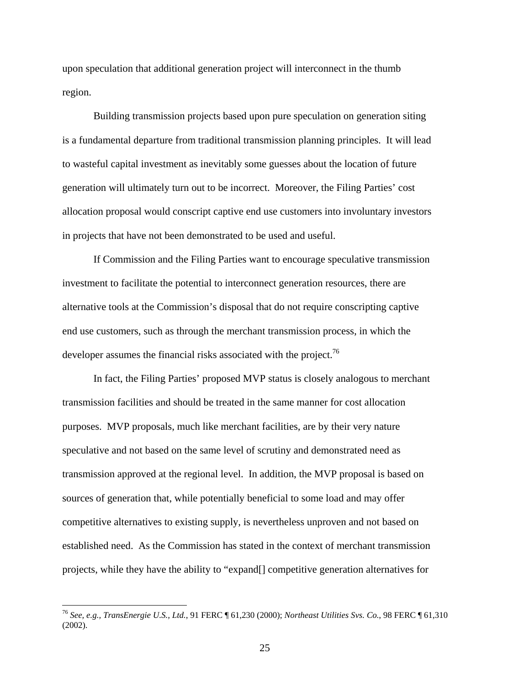upon speculation that additional generation project will interconnect in the thumb region.

Building transmission projects based upon pure speculation on generation siting is a fundamental departure from traditional transmission planning principles. It will lead to wasteful capital investment as inevitably some guesses about the location of future generation will ultimately turn out to be incorrect. Moreover, the Filing Parties' cost allocation proposal would conscript captive end use customers into involuntary investors in projects that have not been demonstrated to be used and useful.

 If Commission and the Filing Parties want to encourage speculative transmission investment to facilitate the potential to interconnect generation resources, there are alternative tools at the Commission's disposal that do not require conscripting captive end use customers, such as through the merchant transmission process, in which the developer assumes the financial risks associated with the project.<sup>76</sup>

 In fact, the Filing Parties' proposed MVP status is closely analogous to merchant transmission facilities and should be treated in the same manner for cost allocation purposes. MVP proposals, much like merchant facilities, are by their very nature speculative and not based on the same level of scrutiny and demonstrated need as transmission approved at the regional level. In addition, the MVP proposal is based on sources of generation that, while potentially beneficial to some load and may offer competitive alternatives to existing supply, is nevertheless unproven and not based on established need. As the Commission has stated in the context of merchant transmission projects, while they have the ability to "expand[] competitive generation alternatives for

<sup>76</sup> *See, e.g., TransEnergie U.S., Ltd.*, 91 FERC ¶ 61,230 (2000); *Northeast Utilities Svs. Co.*, 98 FERC ¶ 61,310 (2002).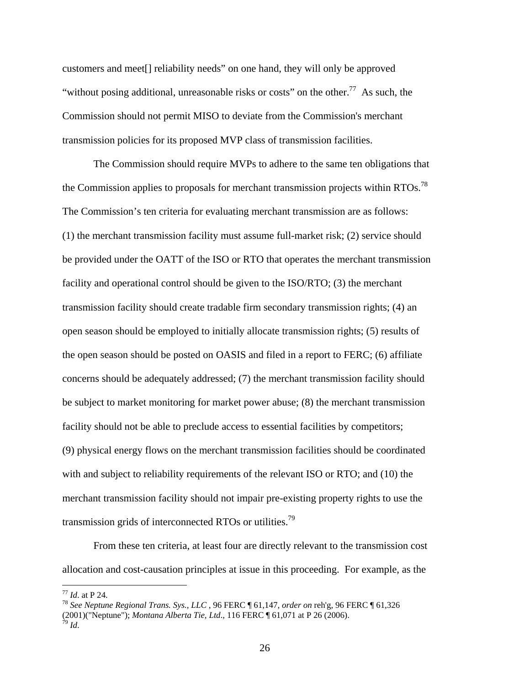customers and meet[] reliability needs" on one hand, they will only be approved "without posing additional, unreasonable risks or costs" on the other.<sup>77</sup> As such, the Commission should not permit MISO to deviate from the Commission's merchant transmission policies for its proposed MVP class of transmission facilities.

 The Commission should require MVPs to adhere to the same ten obligations that the Commission applies to proposals for merchant transmission projects within RTOs.<sup>78</sup> The Commission's ten criteria for evaluating merchant transmission are as follows: (1) the merchant transmission facility must assume full-market risk; (2) service should be provided under the OATT of the ISO or RTO that operates the merchant transmission facility and operational control should be given to the ISO/RTO; (3) the merchant transmission facility should create tradable firm secondary transmission rights; (4) an open season should be employed to initially allocate transmission rights; (5) results of the open season should be posted on OASIS and filed in a report to FERC; (6) affiliate concerns should be adequately addressed; (7) the merchant transmission facility should be subject to market monitoring for market power abuse; (8) the merchant transmission facility should not be able to preclude access to essential facilities by competitors; (9) physical energy flows on the merchant transmission facilities should be coordinated with and subject to reliability requirements of the relevant ISO or RTO; and (10) the merchant transmission facility should not impair pre-existing property rights to use the transmission grids of interconnected RTOs or utilities.<sup>79</sup>

 From these ten criteria, at least four are directly relevant to the transmission cost allocation and cost-causation principles at issue in this proceeding. For example, as the

<sup>77</sup> *Id*. at P 24. 78 *See Neptune Regional Trans. Sys., LLC* , 96 FERC ¶ 61,147, *order on* reh'g, 96 FERC ¶ 61,326 (2001)("Neptune"); *Montana Alberta Tie, Ltd*., 116 FERC ¶ 61,071 at P 26 (2006). 79 *Id*.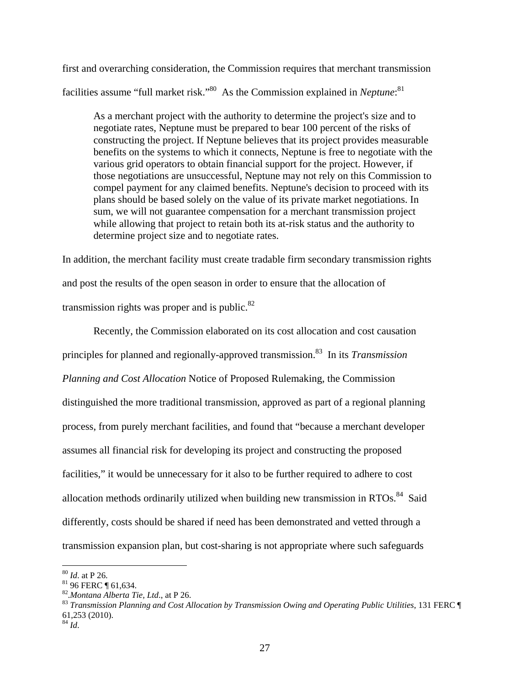first and overarching consideration, the Commission requires that merchant transmission facilities assume "full market risk."<sup>80</sup> As the Commission explained in *Neptune*:<sup>81</sup>

As a merchant project with the authority to determine the project's size and to negotiate rates, Neptune must be prepared to bear 100 percent of the risks of constructing the project. If Neptune believes that its project provides measurable benefits on the systems to which it connects, Neptune is free to negotiate with the various grid operators to obtain financial support for the project. However, if those negotiations are unsuccessful, Neptune may not rely on this Commission to compel payment for any claimed benefits. Neptune's decision to proceed with its plans should be based solely on the value of its private market negotiations. In sum, we will not guarantee compensation for a merchant transmission project while allowing that project to retain both its at-risk status and the authority to determine project size and to negotiate rates.

In addition, the merchant facility must create tradable firm secondary transmission rights and post the results of the open season in order to ensure that the allocation of transmission rights was proper and is public. $82$ 

 Recently, the Commission elaborated on its cost allocation and cost causation principles for planned and regionally-approved transmission.83 In its *Transmission Planning and Cost Allocation* Notice of Proposed Rulemaking, the Commission distinguished the more traditional transmission, approved as part of a regional planning process, from purely merchant facilities, and found that "because a merchant developer assumes all financial risk for developing its project and constructing the proposed facilities," it would be unnecessary for it also to be further required to adhere to cost allocation methods ordinarily utilized when building new transmission in RTOs. $84$  Said differently, costs should be shared if need has been demonstrated and vetted through a transmission expansion plan, but cost-sharing is not appropriate where such safeguards

 $80$  *Id.* at P 26.

<sup>81 96</sup> FERC **[** 61,634. 82. *Montana Alberta Tie, Ltd., at P 26.* 

<sup>&</sup>lt;sup>83</sup> Transmission Planning and Cost Allocation by Transmission Owing and Operating Public Utilities, 131 FERC ¶ 61,253 (2010).

 $^{84}$  *Id.*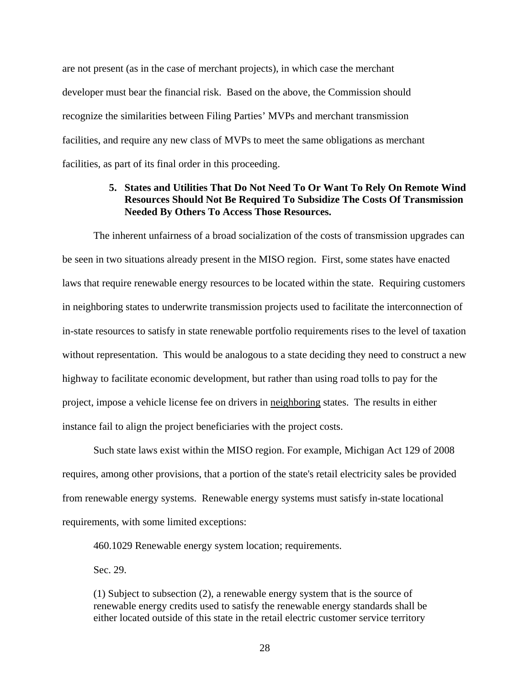are not present (as in the case of merchant projects), in which case the merchant developer must bear the financial risk. Based on the above, the Commission should recognize the similarities between Filing Parties' MVPs and merchant transmission facilities, and require any new class of MVPs to meet the same obligations as merchant facilities, as part of its final order in this proceeding.

# **5. States and Utilities That Do Not Need To Or Want To Rely On Remote Wind Resources Should Not Be Required To Subsidize The Costs Of Transmission Needed By Others To Access Those Resources.**

The inherent unfairness of a broad socialization of the costs of transmission upgrades can be seen in two situations already present in the MISO region. First, some states have enacted laws that require renewable energy resources to be located within the state. Requiring customers in neighboring states to underwrite transmission projects used to facilitate the interconnection of in-state resources to satisfy in state renewable portfolio requirements rises to the level of taxation without representation. This would be analogous to a state deciding they need to construct a new highway to facilitate economic development, but rather than using road tolls to pay for the project, impose a vehicle license fee on drivers in neighboring states. The results in either instance fail to align the project beneficiaries with the project costs.

Such state laws exist within the MISO region. For example, Michigan Act 129 of 2008 requires, among other provisions, that a portion of the state's retail electricity sales be provided from renewable energy systems. Renewable energy systems must satisfy in-state locational requirements, with some limited exceptions:

460.1029 Renewable energy system location; requirements.

Sec. 29.

(1) Subject to subsection (2), a renewable energy system that is the source of renewable energy credits used to satisfy the renewable energy standards shall be either located outside of this state in the retail electric customer service territory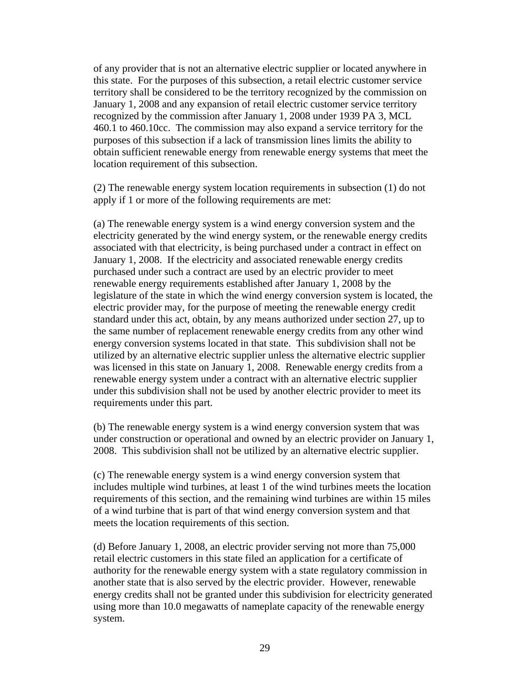of any provider that is not an alternative electric supplier or located anywhere in this state. For the purposes of this subsection, a retail electric customer service territory shall be considered to be the territory recognized by the commission on January 1, 2008 and any expansion of retail electric customer service territory recognized by the commission after January 1, 2008 under 1939 PA 3, MCL 460.1 to 460.10cc. The commission may also expand a service territory for the purposes of this subsection if a lack of transmission lines limits the ability to obtain sufficient renewable energy from renewable energy systems that meet the location requirement of this subsection.

(2) The renewable energy system location requirements in subsection (1) do not apply if 1 or more of the following requirements are met:

(a) The renewable energy system is a wind energy conversion system and the electricity generated by the wind energy system, or the renewable energy credits associated with that electricity, is being purchased under a contract in effect on January 1, 2008. If the electricity and associated renewable energy credits purchased under such a contract are used by an electric provider to meet renewable energy requirements established after January 1, 2008 by the legislature of the state in which the wind energy conversion system is located, the electric provider may, for the purpose of meeting the renewable energy credit standard under this act, obtain, by any means authorized under section 27, up to the same number of replacement renewable energy credits from any other wind energy conversion systems located in that state. This subdivision shall not be utilized by an alternative electric supplier unless the alternative electric supplier was licensed in this state on January 1, 2008. Renewable energy credits from a renewable energy system under a contract with an alternative electric supplier under this subdivision shall not be used by another electric provider to meet its requirements under this part.

(b) The renewable energy system is a wind energy conversion system that was under construction or operational and owned by an electric provider on January 1, 2008. This subdivision shall not be utilized by an alternative electric supplier.

(c) The renewable energy system is a wind energy conversion system that includes multiple wind turbines, at least 1 of the wind turbines meets the location requirements of this section, and the remaining wind turbines are within 15 miles of a wind turbine that is part of that wind energy conversion system and that meets the location requirements of this section.

(d) Before January 1, 2008, an electric provider serving not more than 75,000 retail electric customers in this state filed an application for a certificate of authority for the renewable energy system with a state regulatory commission in another state that is also served by the electric provider. However, renewable energy credits shall not be granted under this subdivision for electricity generated using more than 10.0 megawatts of nameplate capacity of the renewable energy system.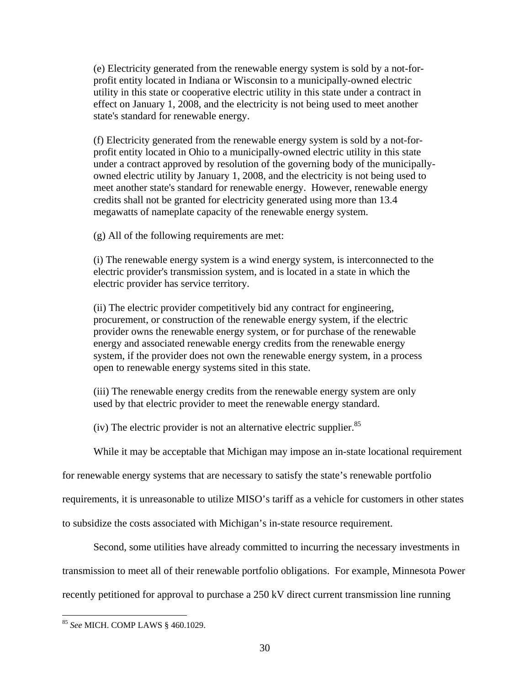(e) Electricity generated from the renewable energy system is sold by a not-forprofit entity located in Indiana or Wisconsin to a municipally-owned electric utility in this state or cooperative electric utility in this state under a contract in effect on January 1, 2008, and the electricity is not being used to meet another state's standard for renewable energy.

(f) Electricity generated from the renewable energy system is sold by a not-forprofit entity located in Ohio to a municipally-owned electric utility in this state under a contract approved by resolution of the governing body of the municipallyowned electric utility by January 1, 2008, and the electricity is not being used to meet another state's standard for renewable energy. However, renewable energy credits shall not be granted for electricity generated using more than 13.4 megawatts of nameplate capacity of the renewable energy system.

(g) All of the following requirements are met:

(i) The renewable energy system is a wind energy system, is interconnected to the electric provider's transmission system, and is located in a state in which the electric provider has service territory.

(ii) The electric provider competitively bid any contract for engineering, procurement, or construction of the renewable energy system, if the electric provider owns the renewable energy system, or for purchase of the renewable energy and associated renewable energy credits from the renewable energy system, if the provider does not own the renewable energy system, in a process open to renewable energy systems sited in this state.

(iii) The renewable energy credits from the renewable energy system are only used by that electric provider to meet the renewable energy standard.

(iv) The electric provider is not an alternative electric supplier.  $85$ 

While it may be acceptable that Michigan may impose an in-state locational requirement

for renewable energy systems that are necessary to satisfy the state's renewable portfolio

requirements, it is unreasonable to utilize MISO's tariff as a vehicle for customers in other states

to subsidize the costs associated with Michigan's in-state resource requirement.

Second, some utilities have already committed to incurring the necessary investments in

transmission to meet all of their renewable portfolio obligations. For example, Minnesota Power

recently petitioned for approval to purchase a 250 kV direct current transmission line running

<sup>85</sup> *See* MICH. COMP LAWS § 460.1029.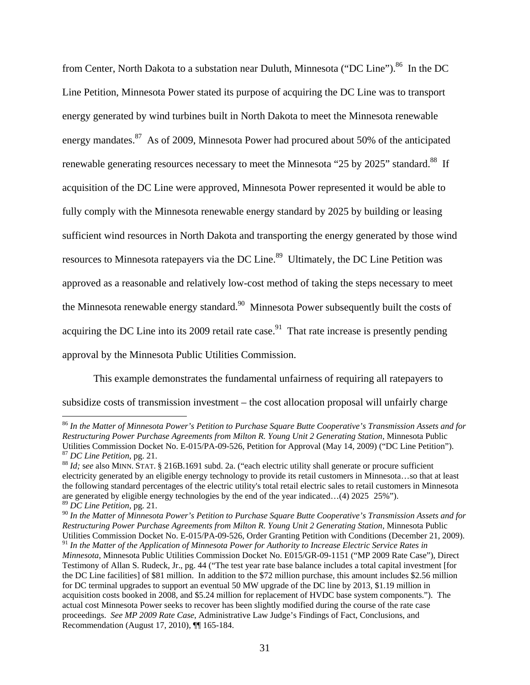from Center, North Dakota to a substation near Duluth, Minnesota ("DC Line").<sup>86</sup> In the DC Line Petition, Minnesota Power stated its purpose of acquiring the DC Line was to transport energy generated by wind turbines built in North Dakota to meet the Minnesota renewable energy mandates.<sup>87</sup> As of 2009, Minnesota Power had procured about 50% of the anticipated renewable generating resources necessary to meet the Minnesota "25 by 2025" standard.<sup>88</sup> If acquisition of the DC Line were approved, Minnesota Power represented it would be able to fully comply with the Minnesota renewable energy standard by 2025 by building or leasing sufficient wind resources in North Dakota and transporting the energy generated by those wind resources to Minnesota ratepayers via the DC Line.<sup>89</sup> Ultimately, the DC Line Petition was approved as a reasonable and relatively low-cost method of taking the steps necessary to meet the Minnesota renewable energy standard.<sup>90</sup> Minnesota Power subsequently built the costs of acquiring the DC Line into its 2009 retail rate case.<sup>91</sup> That rate increase is presently pending approval by the Minnesota Public Utilities Commission.

This example demonstrates the fundamental unfairness of requiring all ratepayers to subsidize costs of transmission investment – the cost allocation proposal will unfairly charge

<sup>86</sup> *In the Matter of Minnesota Power's Petition to Purchase Square Butte Cooperative's Transmission Assets and for Restructuring Power Purchase Agreements from Milton R. Young Unit 2 Generating Station*, Minnesota Public Utilities Commission Docket No. E-015/PA-09-526, Petition for Approval (May 14, 2009) ("DC Line Petition").<br><sup>87</sup> DC Line Petition, pg. 21.<br><sup>88</sup> Id; see also MINN. STAT. § 216B.1691 subd. 2a. ("each electric utility shall g

electricity generated by an eligible energy technology to provide its retail customers in Minnesota…so that at least the following standard percentages of the electric utility's total retail electric sales to retail customers in Minnesota are generated by eligible energy technologies by the end of the year indicated…(4) 2025 25%"). <sup>89</sup> *DC Line Petition,* pg. 21.

<sup>90</sup> *In the Matter of Minnesota Power's Petition to Purchase Square Butte Cooperative's Transmission Assets and for Restructuring Power Purchase Agreements from Milton R. Young Unit 2 Generating Station*, Minnesota Public Utilities Commission Docket No. E-015/PA-09-526, Order Granting Petition with Conditions (December 21, 2009). <sup>91</sup> *In the Matter of the Application of Minnesota Power for Authority to Increase Electric Service Rates in* 

*Minnesota*, Minnesota Public Utilities Commission Docket No. E015/GR-09-1151 ("MP 2009 Rate Case"), Direct Testimony of Allan S. Rudeck, Jr., pg. 44 ("The test year rate base balance includes a total capital investment [for the DC Line facilities] of \$81 million. In addition to the \$72 million purchase, this amount includes \$2.56 million for DC terminal upgrades to support an eventual 50 MW upgrade of the DC line by 2013, \$1.19 million in acquisition costs booked in 2008, and \$5.24 million for replacement of HVDC base system components."). The actual cost Minnesota Power seeks to recover has been slightly modified during the course of the rate case proceedings. *See MP 2009 Rate Case*, Administrative Law Judge's Findings of Fact, Conclusions, and Recommendation (August 17, 2010), ¶¶ 165-184.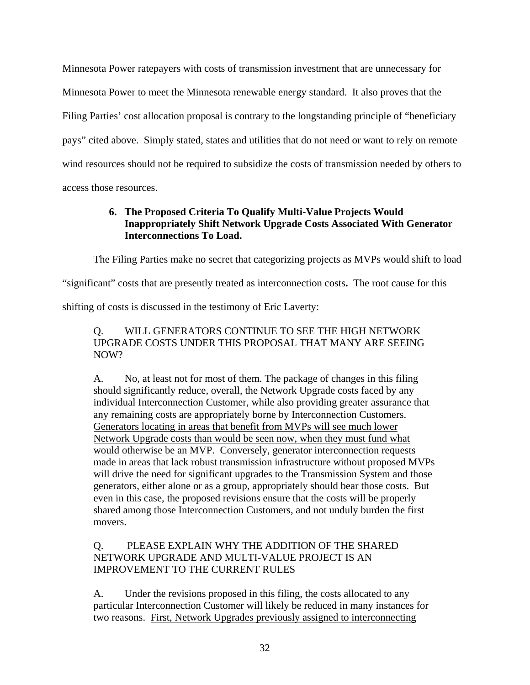Minnesota Power ratepayers with costs of transmission investment that are unnecessary for Minnesota Power to meet the Minnesota renewable energy standard. It also proves that the Filing Parties' cost allocation proposal is contrary to the longstanding principle of "beneficiary pays" cited above. Simply stated, states and utilities that do not need or want to rely on remote wind resources should not be required to subsidize the costs of transmission needed by others to access those resources.

# **6. The Proposed Criteria To Qualify Multi-Value Projects Would Inappropriately Shift Network Upgrade Costs Associated With Generator Interconnections To Load.**

The Filing Parties make no secret that categorizing projects as MVPs would shift to load

"significant" costs that are presently treated as interconnection costs**.** The root cause for this

shifting of costs is discussed in the testimony of Eric Laverty:

# Q. WILL GENERATORS CONTINUE TO SEE THE HIGH NETWORK UPGRADE COSTS UNDER THIS PROPOSAL THAT MANY ARE SEEING NOW?

A. No, at least not for most of them. The package of changes in this filing should significantly reduce, overall, the Network Upgrade costs faced by any individual Interconnection Customer, while also providing greater assurance that any remaining costs are appropriately borne by Interconnection Customers. Generators locating in areas that benefit from MVPs will see much lower Network Upgrade costs than would be seen now, when they must fund what would otherwise be an MVP. Conversely, generator interconnection requests made in areas that lack robust transmission infrastructure without proposed MVPs will drive the need for significant upgrades to the Transmission System and those generators, either alone or as a group, appropriately should bear those costs. But even in this case, the proposed revisions ensure that the costs will be properly shared among those Interconnection Customers, and not unduly burden the first movers.

# Q. PLEASE EXPLAIN WHY THE ADDITION OF THE SHARED NETWORK UPGRADE AND MULTI-VALUE PROJECT IS AN IMPROVEMENT TO THE CURRENT RULES

A. Under the revisions proposed in this filing, the costs allocated to any particular Interconnection Customer will likely be reduced in many instances for two reasons. First, Network Upgrades previously assigned to interconnecting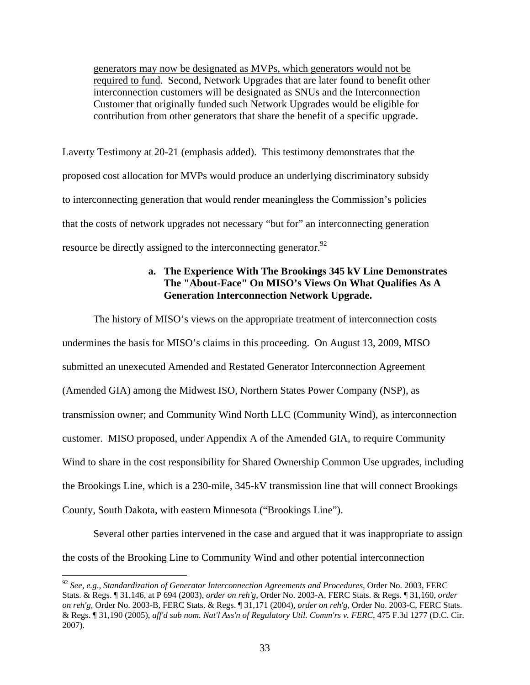generators may now be designated as MVPs, which generators would not be required to fund. Second, Network Upgrades that are later found to benefit other interconnection customers will be designated as SNUs and the Interconnection Customer that originally funded such Network Upgrades would be eligible for contribution from other generators that share the benefit of a specific upgrade.

Laverty Testimony at 20-21 (emphasis added). This testimony demonstrates that the proposed cost allocation for MVPs would produce an underlying discriminatory subsidy to interconnecting generation that would render meaningless the Commission's policies that the costs of network upgrades not necessary "but for" an interconnecting generation resource be directly assigned to the interconnecting generator.<sup>92</sup>

# **a. The Experience With The Brookings 345 kV Line Demonstrates The "About-Face" On MISO's Views On What Qualifies As A Generation Interconnection Network Upgrade.**

The history of MISO's views on the appropriate treatment of interconnection costs undermines the basis for MISO's claims in this proceeding.On August 13, 2009, MISO submitted an unexecuted Amended and Restated Generator Interconnection Agreement (Amended GIA) among the Midwest ISO, Northern States Power Company (NSP), as transmission owner; and Community Wind North LLC (Community Wind), as interconnection customer. MISO proposed, under Appendix A of the Amended GIA, to require Community Wind to share in the cost responsibility for Shared Ownership Common Use upgrades, including the Brookings Line, which is a 230-mile, 345-kV transmission line that will connect Brookings County, South Dakota, with eastern Minnesota ("Brookings Line").

Several other parties intervened in the case and argued that it was inappropriate to assign the costs of the Brooking Line to Community Wind and other potential interconnection

<u>.</u>

<sup>92</sup> *See, e.g., Standardization of Generator Interconnection Agreements and Procedures*, Order No. 2003, FERC Stats. & Regs. ¶ 31,146, at P 694 (2003), *order on reh'g*, Order No. 2003-A, FERC Stats. & Regs. ¶ 31,160, *order on reh'g,* Order No. 2003-B, FERC Stats. & Regs. ¶ 31,171 (2004), *order on reh'g,* Order No. 2003-C, FERC Stats. & Regs. ¶ 31,190 (2005), *aff'd sub nom. Nat'l Ass'n of Regulatory Util. Comm'rs v. FERC*, 475 F.3d 1277 (D.C. Cir. 2007).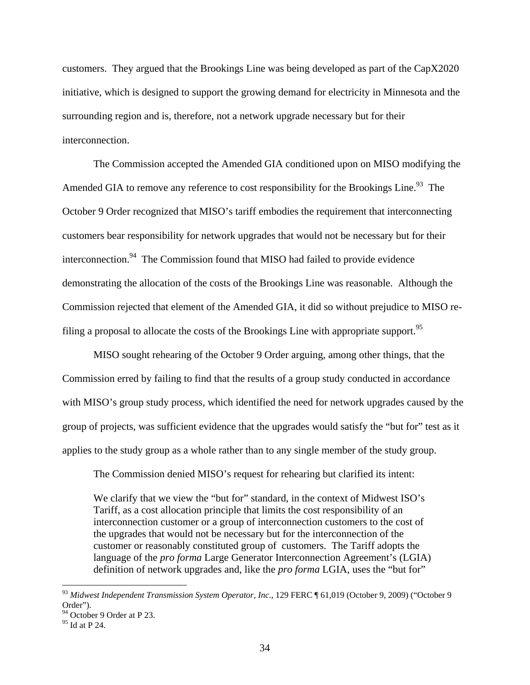customers. They argued that the Brookings Line was being developed as part of the CapX2020 initiative, which is designed to support the growing demand for electricity in Minnesota and the surrounding region and is, therefore, not a network upgrade necessary but for their interconnection.

The Commission accepted the Amended GIA conditioned upon on MISO modifying the Amended GIA to remove any reference to cost responsibility for the Brookings Line.<sup>93</sup> The October 9 Order recognized that MISO's tariff embodies the requirement that interconnecting customers bear responsibility for network upgrades that would not be necessary but for their interconnection.<sup>94</sup> The Commission found that MISO had failed to provide evidence demonstrating the allocation of the costs of the Brookings Line was reasonable. Although the Commission rejected that element of the Amended GIA, it did so without prejudice to MISO refiling a proposal to allocate the costs of the Brookings Line with appropriate support.<sup>95</sup>

MISO sought rehearing of the October 9 Order arguing, among other things, that the Commission erred by failing to find that the results of a group study conducted in accordance with MISO's group study process, which identified the need for network upgrades caused by the group of projects, was sufficient evidence that the upgrades would satisfy the "but for" test as it applies to the study group as a whole rather than to any single member of the study group.

The Commission denied MISO's request for rehearing but clarified its intent:

We clarify that we view the "but for" standard, in the context of Midwest ISO's Tariff, as a cost allocation principle that limits the cost responsibility of an interconnection customer or a group of interconnection customers to the cost of the upgrades that would not be necessary but for the interconnection of the customer or reasonably constituted group of customers. The Tariff adopts the language of the *pro forma* Large Generator Interconnection Agreement's (LGIA) definition of network upgrades and, like the *pro forma* LGIA, uses the "but for"

<sup>93</sup> *Midwest Independent Transmission System Operator, Inc.,* 129 FERC ¶ 61,019 (October 9, 2009) ("October 9 Order").

<sup>&</sup>lt;sup>94</sup> October 9 Order at P 23.

<sup>95</sup> Id at P 24.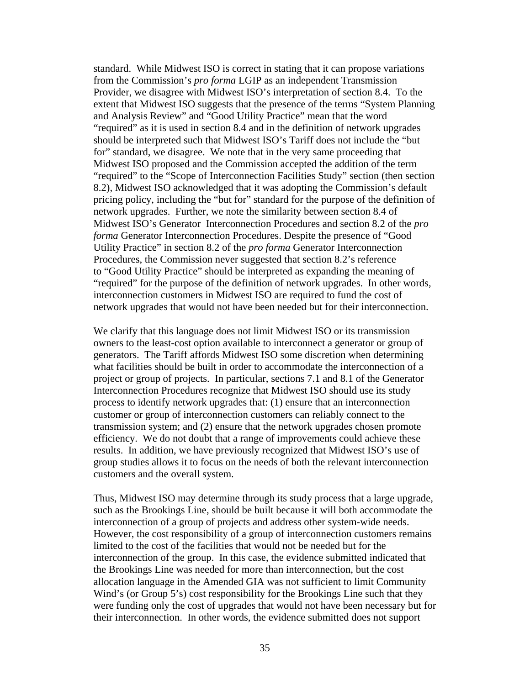standard. While Midwest ISO is correct in stating that it can propose variations from the Commission's *pro forma* LGIP as an independent Transmission Provider, we disagree with Midwest ISO's interpretation of section 8.4. To the extent that Midwest ISO suggests that the presence of the terms "System Planning and Analysis Review" and "Good Utility Practice" mean that the word "required" as it is used in section 8.4 and in the definition of network upgrades should be interpreted such that Midwest ISO's Tariff does not include the "but for" standard, we disagree. We note that in the very same proceeding that Midwest ISO proposed and the Commission accepted the addition of the term "required" to the "Scope of Interconnection Facilities Study" section (then section 8.2), Midwest ISO acknowledged that it was adopting the Commission's default pricing policy, including the "but for" standard for the purpose of the definition of network upgrades.Further, we note the similarity between section 8.4 of Midwest ISO's Generator Interconnection Procedures and section 8.2 of the *pro forma* Generator Interconnection Procedures. Despite the presence of "Good Utility Practice" in section 8.2 of the *pro forma* Generator Interconnection Procedures, the Commission never suggested that section 8.2's reference to "Good Utility Practice" should be interpreted as expanding the meaning of "required" for the purpose of the definition of network upgrades.In other words, interconnection customers in Midwest ISO are required to fund the cost of network upgrades that would not have been needed but for their interconnection.

We clarify that this language does not limit Midwest ISO or its transmission owners to the least-cost option available to interconnect a generator or group of generators. The Tariff affords Midwest ISO some discretion when determining what facilities should be built in order to accommodate the interconnection of a project or group of projects. In particular, sections 7.1 and 8.1 of the Generator Interconnection Procedures recognize that Midwest ISO should use its study process to identify network upgrades that: (1) ensure that an interconnection customer or group of interconnection customers can reliably connect to the transmission system; and (2) ensure that the network upgrades chosen promote efficiency.We do not doubt that a range of improvements could achieve these results. In addition, we have previously recognized that Midwest ISO's use of group studies allows it to focus on the needs of both the relevant interconnection customers and the overall system.

Thus, Midwest ISO may determine through its study process that a large upgrade, such as the Brookings Line, should be built because it will both accommodate the interconnection of a group of projects and address other system-wide needs. However, the cost responsibility of a group of interconnection customers remains limited to the cost of the facilities that would not be needed but for the interconnection of the group. In this case, the evidence submitted indicated that the Brookings Line was needed for more than interconnection, but the cost allocation language in the Amended GIA was not sufficient to limit Community Wind's (or Group 5's) cost responsibility for the Brookings Line such that they were funding only the cost of upgrades that would not have been necessary but for their interconnection.In other words, the evidence submitted does not support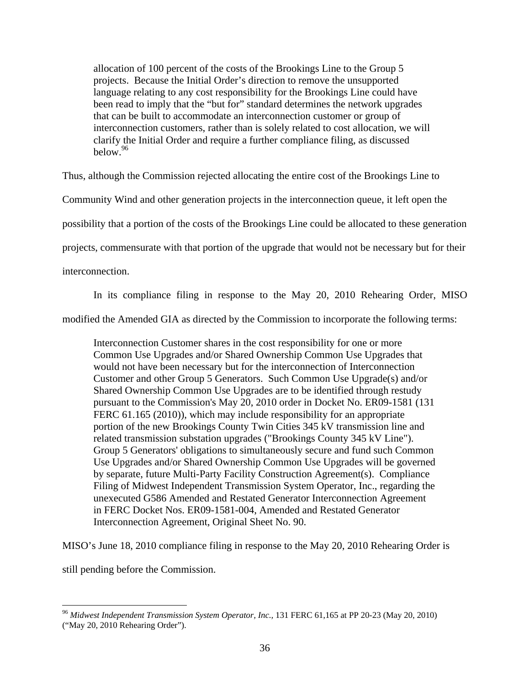allocation of 100 percent of the costs of the Brookings Line to the Group 5 projects. Because the Initial Order's direction to remove the unsupported language relating to any cost responsibility for the Brookings Line could have been read to imply that the "but for" standard determines the network upgrades that can be built to accommodate an interconnection customer or group of interconnection customers, rather than is solely related to cost allocation, we will clarify the Initial Order and require a further compliance filing, as discussed below.<sup>96</sup>

Thus, although the Commission rejected allocating the entire cost of the Brookings Line to

Community Wind and other generation projects in the interconnection queue, it left open the

possibility that a portion of the costs of the Brookings Line could be allocated to these generation

projects, commensurate with that portion of the upgrade that would not be necessary but for their

interconnection.

In its compliance filing in response to the May 20, 2010 Rehearing Order, MISO

modified the Amended GIA as directed by the Commission to incorporate the following terms:

Interconnection Customer shares in the cost responsibility for one or more Common Use Upgrades and/or Shared Ownership Common Use Upgrades that would not have been necessary but for the interconnection of Interconnection Customer and other Group 5 Generators. Such Common Use Upgrade(s) and/or Shared Ownership Common Use Upgrades are to be identified through restudy pursuant to the Commission's May 20, 2010 order in Docket No. ER09-1581 (131 FERC 61.165 (2010)), which may include responsibility for an appropriate portion of the new Brookings County Twin Cities 345 kV transmission line and related transmission substation upgrades ("Brookings County 345 kV Line"). Group 5 Generators' obligations to simultaneously secure and fund such Common Use Upgrades and/or Shared Ownership Common Use Upgrades will be governed by separate, future Multi-Party Facility Construction Agreement(s). Compliance Filing of Midwest Independent Transmission System Operator, Inc., regarding the unexecuted G586 Amended and Restated Generator Interconnection Agreement in FERC Docket Nos. ER09-1581-004, Amended and Restated Generator Interconnection Agreement, Original Sheet No. 90.

MISO's June 18, 2010 compliance filing in response to the May 20, 2010 Rehearing Order is

still pending before the Commission.

<sup>96</sup> *Midwest Independent Transmission System Operator, Inc.,* 131 FERC 61,165 at PP 20-23 (May 20, 2010) ("May 20, 2010 Rehearing Order").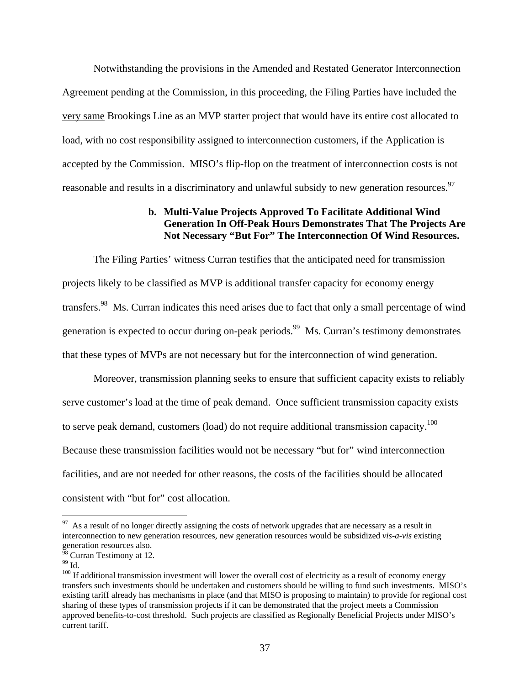Notwithstanding the provisions in the Amended and Restated Generator Interconnection Agreement pending at the Commission, in this proceeding, the Filing Parties have included the very same Brookings Line as an MVP starter project that would have its entire cost allocated to load, with no cost responsibility assigned to interconnection customers, if the Application is accepted by the Commission. MISO's flip-flop on the treatment of interconnection costs is not reasonable and results in a discriminatory and unlawful subsidy to new generation resources.<sup>97</sup>

## **b. Multi-Value Projects Approved To Facilitate Additional Wind Generation In Off-Peak Hours Demonstrates That The Projects Are Not Necessary "But For" The Interconnection Of Wind Resources.**

The Filing Parties' witness Curran testifies that the anticipated need for transmission projects likely to be classified as MVP is additional transfer capacity for economy energy transfers.98 Ms. Curran indicates this need arises due to fact that only a small percentage of wind generation is expected to occur during on-peak periods.<sup>99</sup> Ms. Curran's testimony demonstrates that these types of MVPs are not necessary but for the interconnection of wind generation.

Moreover, transmission planning seeks to ensure that sufficient capacity exists to reliably serve customer's load at the time of peak demand. Once sufficient transmission capacity exists to serve peak demand, customers (load) do not require additional transmission capacity.<sup>100</sup> Because these transmission facilities would not be necessary "but for" wind interconnection facilities, and are not needed for other reasons, the costs of the facilities should be allocated consistent with "but for" cost allocation.

<u>.</u>

 $97$  As a result of no longer directly assigning the costs of network upgrades that are necessary as a result in interconnection to new generation resources, new generation resources would be subsidized *vis-a-vis* existing generation resources also.

 $\frac{98}{98}$  Curran Testimony at 12.

 $^{99}$  Id.

 $100$  If additional transmission investment will lower the overall cost of electricity as a result of economy energy transfers such investments should be undertaken and customers should be willing to fund such investments. MISO's existing tariff already has mechanisms in place (and that MISO is proposing to maintain) to provide for regional cost sharing of these types of transmission projects if it can be demonstrated that the project meets a Commission approved benefits-to-cost threshold. Such projects are classified as Regionally Beneficial Projects under MISO's current tariff.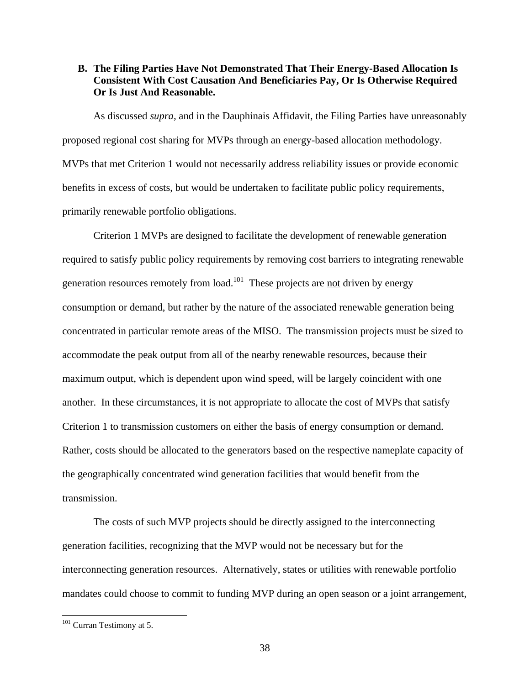# **B. The Filing Parties Have Not Demonstrated That Their Energy-Based Allocation Is Consistent With Cost Causation And Beneficiaries Pay, Or Is Otherwise Required Or Is Just And Reasonable.**

As discussed *supra,* and in the Dauphinais Affidavit, the Filing Parties have unreasonably proposed regional cost sharing for MVPs through an energy-based allocation methodology. MVPs that met Criterion 1 would not necessarily address reliability issues or provide economic benefits in excess of costs, but would be undertaken to facilitate public policy requirements, primarily renewable portfolio obligations.

Criterion 1 MVPs are designed to facilitate the development of renewable generation required to satisfy public policy requirements by removing cost barriers to integrating renewable generation resources remotely from load.<sup>101</sup> These projects are not driven by energy consumption or demand, but rather by the nature of the associated renewable generation being concentrated in particular remote areas of the MISO. The transmission projects must be sized to accommodate the peak output from all of the nearby renewable resources, because their maximum output, which is dependent upon wind speed, will be largely coincident with one another. In these circumstances, it is not appropriate to allocate the cost of MVPs that satisfy Criterion 1 to transmission customers on either the basis of energy consumption or demand. Rather, costs should be allocated to the generators based on the respective nameplate capacity of the geographically concentrated wind generation facilities that would benefit from the transmission.

The costs of such MVP projects should be directly assigned to the interconnecting generation facilities, recognizing that the MVP would not be necessary but for the interconnecting generation resources. Alternatively, states or utilities with renewable portfolio mandates could choose to commit to funding MVP during an open season or a joint arrangement,

 $101$  Curran Testimony at 5.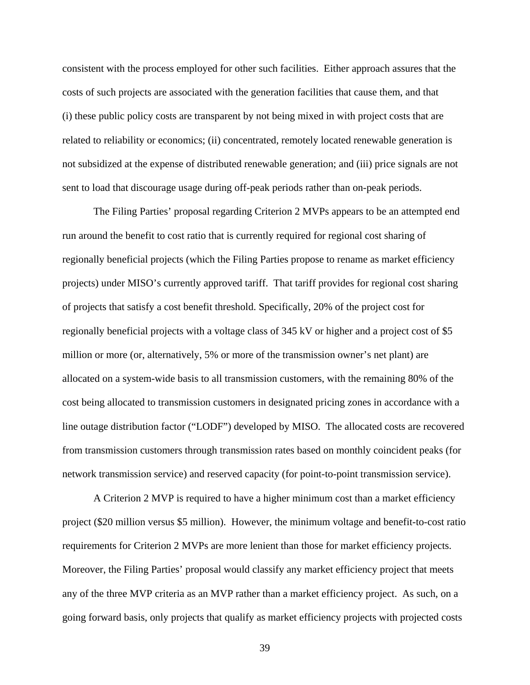consistent with the process employed for other such facilities. Either approach assures that the costs of such projects are associated with the generation facilities that cause them, and that (i) these public policy costs are transparent by not being mixed in with project costs that are related to reliability or economics; (ii) concentrated, remotely located renewable generation is not subsidized at the expense of distributed renewable generation; and (iii) price signals are not sent to load that discourage usage during off-peak periods rather than on-peak periods.

The Filing Parties' proposal regarding Criterion 2 MVPs appears to be an attempted end run around the benefit to cost ratio that is currently required for regional cost sharing of regionally beneficial projects (which the Filing Parties propose to rename as market efficiency projects) under MISO's currently approved tariff. That tariff provides for regional cost sharing of projects that satisfy a cost benefit threshold. Specifically, 20% of the project cost for regionally beneficial projects with a voltage class of 345 kV or higher and a project cost of \$5 million or more (or, alternatively, 5% or more of the transmission owner's net plant) are allocated on a system-wide basis to all transmission customers, with the remaining 80% of the cost being allocated to transmission customers in designated pricing zones in accordance with a line outage distribution factor ("LODF") developed by MISO. The allocated costs are recovered from transmission customers through transmission rates based on monthly coincident peaks (for network transmission service) and reserved capacity (for point-to-point transmission service).

A Criterion 2 MVP is required to have a higher minimum cost than a market efficiency project (\$20 million versus \$5 million). However, the minimum voltage and benefit-to-cost ratio requirements for Criterion 2 MVPs are more lenient than those for market efficiency projects. Moreover, the Filing Parties' proposal would classify any market efficiency project that meets any of the three MVP criteria as an MVP rather than a market efficiency project. As such, on a going forward basis, only projects that qualify as market efficiency projects with projected costs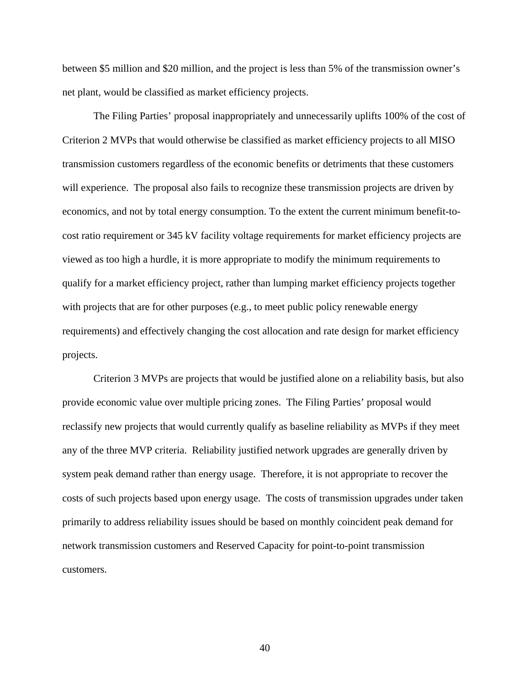between \$5 million and \$20 million, and the project is less than 5% of the transmission owner's net plant, would be classified as market efficiency projects.

The Filing Parties' proposal inappropriately and unnecessarily uplifts 100% of the cost of Criterion 2 MVPs that would otherwise be classified as market efficiency projects to all MISO transmission customers regardless of the economic benefits or detriments that these customers will experience. The proposal also fails to recognize these transmission projects are driven by economics, and not by total energy consumption. To the extent the current minimum benefit-tocost ratio requirement or 345 kV facility voltage requirements for market efficiency projects are viewed as too high a hurdle, it is more appropriate to modify the minimum requirements to qualify for a market efficiency project, rather than lumping market efficiency projects together with projects that are for other purposes (e.g., to meet public policy renewable energy requirements) and effectively changing the cost allocation and rate design for market efficiency projects.

 Criterion 3 MVPs are projects that would be justified alone on a reliability basis, but also provide economic value over multiple pricing zones. The Filing Parties' proposal would reclassify new projects that would currently qualify as baseline reliability as MVPs if they meet any of the three MVP criteria. Reliability justified network upgrades are generally driven by system peak demand rather than energy usage. Therefore, it is not appropriate to recover the costs of such projects based upon energy usage. The costs of transmission upgrades under taken primarily to address reliability issues should be based on monthly coincident peak demand for network transmission customers and Reserved Capacity for point-to-point transmission customers.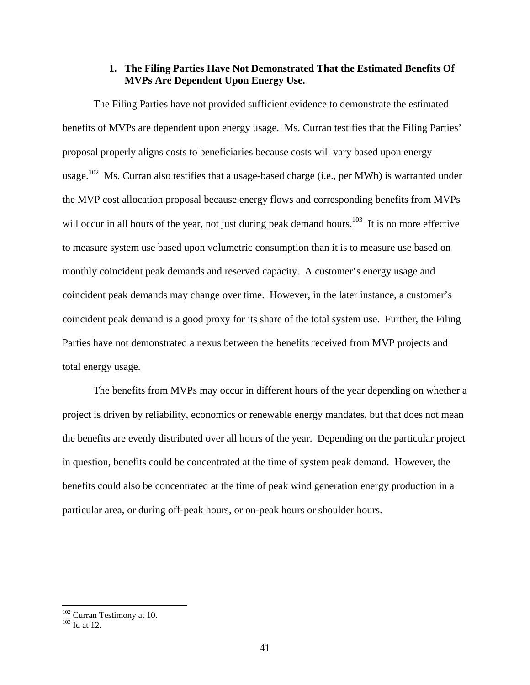# **1. The Filing Parties Have Not Demonstrated That the Estimated Benefits Of MVPs Are Dependent Upon Energy Use.**

 The Filing Parties have not provided sufficient evidence to demonstrate the estimated benefits of MVPs are dependent upon energy usage. Ms. Curran testifies that the Filing Parties' proposal properly aligns costs to beneficiaries because costs will vary based upon energy usage.<sup>102</sup> Ms. Curran also testifies that a usage-based charge (i.e., per MWh) is warranted under the MVP cost allocation proposal because energy flows and corresponding benefits from MVPs will occur in all hours of the year, not just during peak demand hours.<sup>103</sup> It is no more effective to measure system use based upon volumetric consumption than it is to measure use based on monthly coincident peak demands and reserved capacity. A customer's energy usage and coincident peak demands may change over time. However, in the later instance, a customer's coincident peak demand is a good proxy for its share of the total system use. Further, the Filing Parties have not demonstrated a nexus between the benefits received from MVP projects and total energy usage.

 The benefits from MVPs may occur in different hours of the year depending on whether a project is driven by reliability, economics or renewable energy mandates, but that does not mean the benefits are evenly distributed over all hours of the year. Depending on the particular project in question, benefits could be concentrated at the time of system peak demand. However, the benefits could also be concentrated at the time of peak wind generation energy production in a particular area, or during off-peak hours, or on-peak hours or shoulder hours.

 $\frac{102}{103}$  Curran Testimony at 10.<br> $\frac{103}{103}$  Id at 12.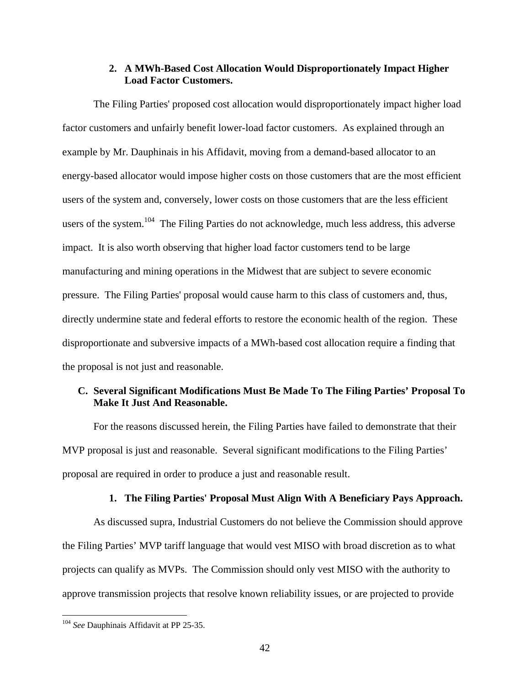### **2. A MWh-Based Cost Allocation Would Disproportionately Impact Higher Load Factor Customers.**

The Filing Parties' proposed cost allocation would disproportionately impact higher load factor customers and unfairly benefit lower-load factor customers. As explained through an example by Mr. Dauphinais in his Affidavit, moving from a demand-based allocator to an energy-based allocator would impose higher costs on those customers that are the most efficient users of the system and, conversely, lower costs on those customers that are the less efficient users of the system.<sup>104</sup> The Filing Parties do not acknowledge, much less address, this adverse impact. It is also worth observing that higher load factor customers tend to be large manufacturing and mining operations in the Midwest that are subject to severe economic pressure. The Filing Parties' proposal would cause harm to this class of customers and, thus, directly undermine state and federal efforts to restore the economic health of the region. These disproportionate and subversive impacts of a MWh-based cost allocation require a finding that the proposal is not just and reasonable.

## **C. Several Significant Modifications Must Be Made To The Filing Parties' Proposal To Make It Just And Reasonable.**

For the reasons discussed herein, the Filing Parties have failed to demonstrate that their MVP proposal is just and reasonable. Several significant modifications to the Filing Parties' proposal are required in order to produce a just and reasonable result.

#### **1. The Filing Parties' Proposal Must Align With A Beneficiary Pays Approach.**

As discussed supra, Industrial Customers do not believe the Commission should approve the Filing Parties' MVP tariff language that would vest MISO with broad discretion as to what projects can qualify as MVPs. The Commission should only vest MISO with the authority to approve transmission projects that resolve known reliability issues, or are projected to provide

<sup>104</sup> *See* Dauphinais Affidavit at PP 25-35.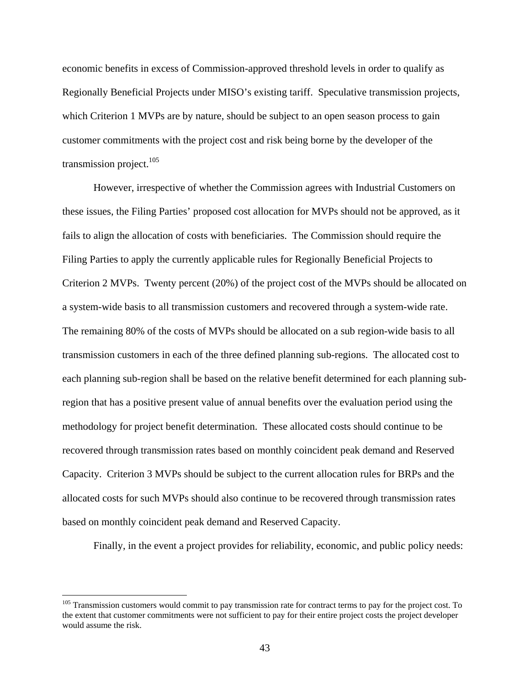economic benefits in excess of Commission-approved threshold levels in order to qualify as Regionally Beneficial Projects under MISO's existing tariff. Speculative transmission projects, which Criterion 1 MVPs are by nature, should be subject to an open season process to gain customer commitments with the project cost and risk being borne by the developer of the transmission project. $105$ 

However, irrespective of whether the Commission agrees with Industrial Customers on these issues, the Filing Parties' proposed cost allocation for MVPs should not be approved, as it fails to align the allocation of costs with beneficiaries. The Commission should require the Filing Parties to apply the currently applicable rules for Regionally Beneficial Projects to Criterion 2 MVPs. Twenty percent (20%) of the project cost of the MVPs should be allocated on a system-wide basis to all transmission customers and recovered through a system-wide rate. The remaining 80% of the costs of MVPs should be allocated on a sub region-wide basis to all transmission customers in each of the three defined planning sub-regions. The allocated cost to each planning sub-region shall be based on the relative benefit determined for each planning subregion that has a positive present value of annual benefits over the evaluation period using the methodology for project benefit determination. These allocated costs should continue to be recovered through transmission rates based on monthly coincident peak demand and Reserved Capacity. Criterion 3 MVPs should be subject to the current allocation rules for BRPs and the allocated costs for such MVPs should also continue to be recovered through transmission rates based on monthly coincident peak demand and Reserved Capacity.

Finally, in the event a project provides for reliability, economic, and public policy needs:

<sup>&</sup>lt;sup>105</sup> Transmission customers would commit to pay transmission rate for contract terms to pay for the project cost. To the extent that customer commitments were not sufficient to pay for their entire project costs the project developer would assume the risk.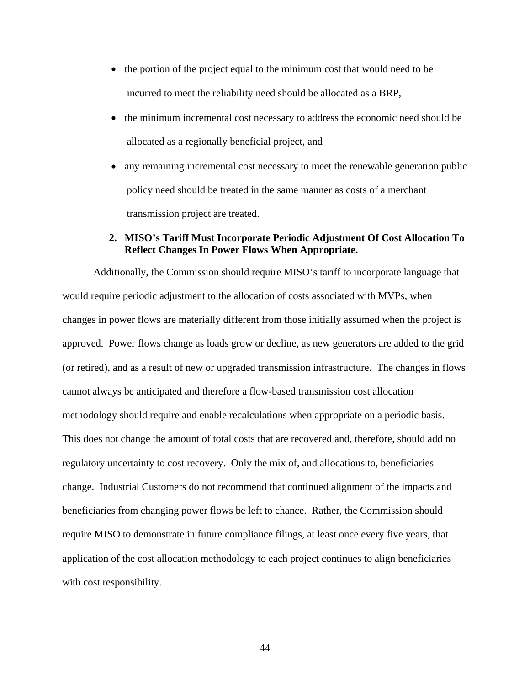- the portion of the project equal to the minimum cost that would need to be incurred to meet the reliability need should be allocated as a BRP,
- the minimum incremental cost necessary to address the economic need should be allocated as a regionally beneficial project, and
- any remaining incremental cost necessary to meet the renewable generation public policy need should be treated in the same manner as costs of a merchant transmission project are treated.

## **2. MISO's Tariff Must Incorporate Periodic Adjustment Of Cost Allocation To Reflect Changes In Power Flows When Appropriate.**

Additionally, the Commission should require MISO's tariff to incorporate language that would require periodic adjustment to the allocation of costs associated with MVPs, when changes in power flows are materially different from those initially assumed when the project is approved. Power flows change as loads grow or decline, as new generators are added to the grid (or retired), and as a result of new or upgraded transmission infrastructure. The changes in flows cannot always be anticipated and therefore a flow-based transmission cost allocation methodology should require and enable recalculations when appropriate on a periodic basis. This does not change the amount of total costs that are recovered and, therefore, should add no regulatory uncertainty to cost recovery. Only the mix of, and allocations to, beneficiaries change. Industrial Customers do not recommend that continued alignment of the impacts and beneficiaries from changing power flows be left to chance. Rather, the Commission should require MISO to demonstrate in future compliance filings, at least once every five years, that application of the cost allocation methodology to each project continues to align beneficiaries with cost responsibility.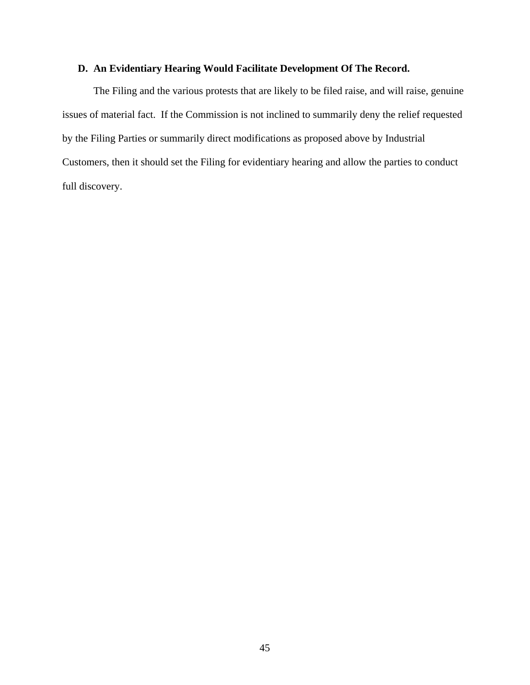# **D. An Evidentiary Hearing Would Facilitate Development Of The Record.**

The Filing and the various protests that are likely to be filed raise, and will raise, genuine issues of material fact. If the Commission is not inclined to summarily deny the relief requested by the Filing Parties or summarily direct modifications as proposed above by Industrial Customers, then it should set the Filing for evidentiary hearing and allow the parties to conduct full discovery.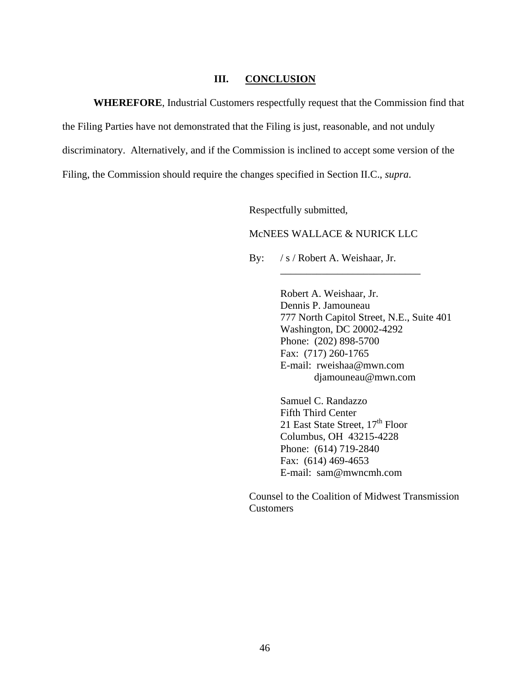### **III. CONCLUSION**

**WHEREFORE**, Industrial Customers respectfully request that the Commission find that the Filing Parties have not demonstrated that the Filing is just, reasonable, and not unduly discriminatory. Alternatively, and if the Commission is inclined to accept some version of the Filing, the Commission should require the changes specified in Section II.C., *supra*.

Respectfully submitted,

### McNEES WALLACE & NURICK LLC

 $\overline{\phantom{a}}$  ,  $\overline{\phantom{a}}$  ,  $\overline{\phantom{a}}$  ,  $\overline{\phantom{a}}$  ,  $\overline{\phantom{a}}$  ,  $\overline{\phantom{a}}$  ,  $\overline{\phantom{a}}$  ,  $\overline{\phantom{a}}$  ,  $\overline{\phantom{a}}$  ,  $\overline{\phantom{a}}$  ,  $\overline{\phantom{a}}$  ,  $\overline{\phantom{a}}$  ,  $\overline{\phantom{a}}$  ,  $\overline{\phantom{a}}$  ,  $\overline{\phantom{a}}$  ,  $\overline{\phantom{a}}$ 

By: / s / Robert A. Weishaar, Jr.

Robert A. Weishaar, Jr. Dennis P. Jamouneau 777 North Capitol Street, N.E., Suite 401 Washington, DC 20002-4292 Phone: (202) 898-5700 Fax: (717) 260-1765 E-mail: rweishaa@mwn.com djamouneau@mwn.com

Samuel C. Randazzo Fifth Third Center 21 East State Street,  $17<sup>th</sup>$  Floor Columbus, OH 43215-4228 Phone: (614) 719-2840 Fax: (614) 469-4653 E-mail: sam@mwncmh.com

Counsel to the Coalition of Midwest Transmission Customers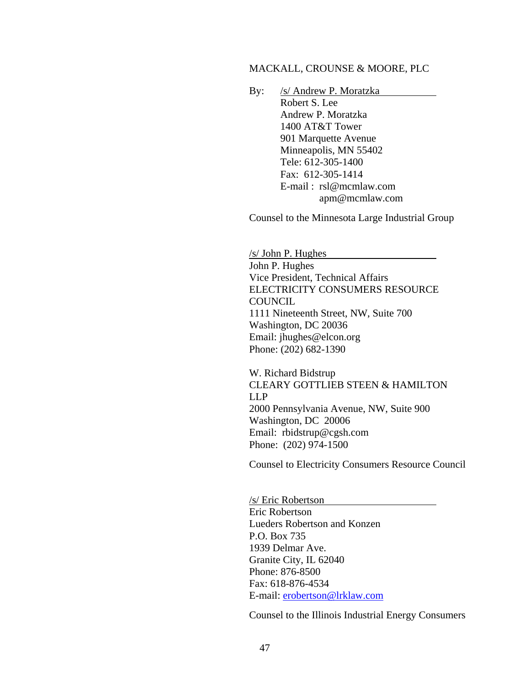### MACKALL, CROUNSE & MOORE, PLC

By: /s/ Andrew P. Moratzka Robert S. Lee Andrew P. Moratzka 1400 AT&T Tower 901 Marquette Avenue Minneapolis, MN 55402 Tele: 612-305-1400 Fax: 612-305-1414 E-mail : rsl@mcmlaw.com apm@mcmlaw.com

Counsel to the Minnesota Large Industrial Group

/s/ John P. Hughes John P. Hughes Vice President, Technical Affairs ELECTRICITY CONSUMERS RESOURCE COUNCIL 1111 Nineteenth Street, NW, Suite 700 Washington, DC 20036 Email: jhughes@elcon.org Phone: (202) 682-1390

W. Richard Bidstrup CLEARY GOTTLIEB STEEN & HAMILTON LLP 2000 Pennsylvania Avenue, NW, Suite 900 Washington, DC 20006 Email: rbidstrup@cgsh.com Phone: (202) 974-1500

Counsel to Electricity Consumers Resource Council

/s/ Eric Robertson Eric Robertson Lueders Robertson and Konzen P.O. Box 735 1939 Delmar Ave. Granite City, IL 62040 Phone: 876-8500 Fax: 618-876-4534 E-mail: erobertson@lrklaw.com

Counsel to the Illinois Industrial Energy Consumers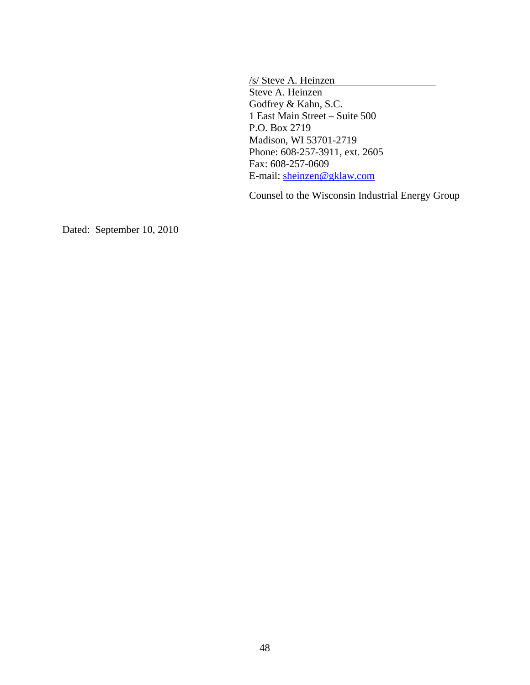/s/ Steve A. Heinzen Steve A. Heinzen Godfrey & Kahn, S.C. 1 East Main Street – Suite 500 P.O. Box 2719 Madison, WI 53701-2719 Phone: 608-257-3911, ext. 2605 Fax: 608-257-0609 E-mail: sheinzen@gklaw.com

Counsel to the Wisconsin Industrial Energy Group

Dated: September 10, 2010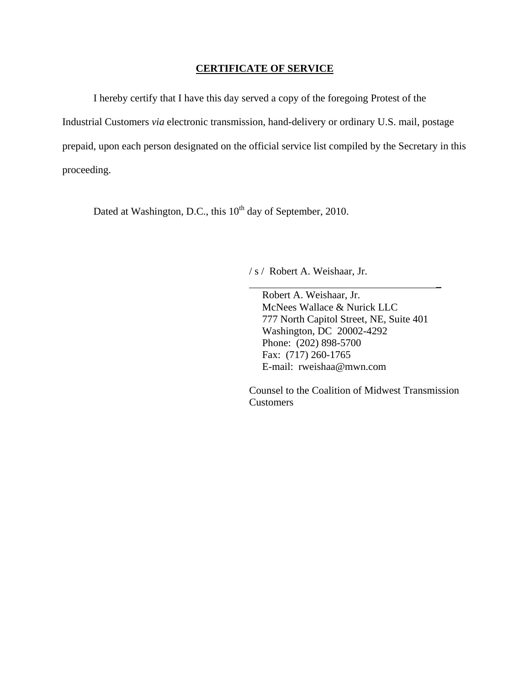### **CERTIFICATE OF SERVICE**

I hereby certify that I have this day served a copy of the foregoing Protest of the

Industrial Customers *via* electronic transmission, hand-delivery or ordinary U.S. mail, postage

prepaid, upon each person designated on the official service list compiled by the Secretary in this

proceeding.

Dated at Washington, D.C., this 10<sup>th</sup> day of September, 2010.

/ s / Robert A. Weishaar, Jr.

 Robert A. Weishaar, Jr. McNees Wallace & Nurick LLC 777 North Capitol Street, NE, Suite 401 Washington, DC 20002-4292 Phone: (202) 898-5700 Fax: (717) 260-1765 E-mail: rweishaa@mwn.com

\_

Counsel to the Coalition of Midwest Transmission Customers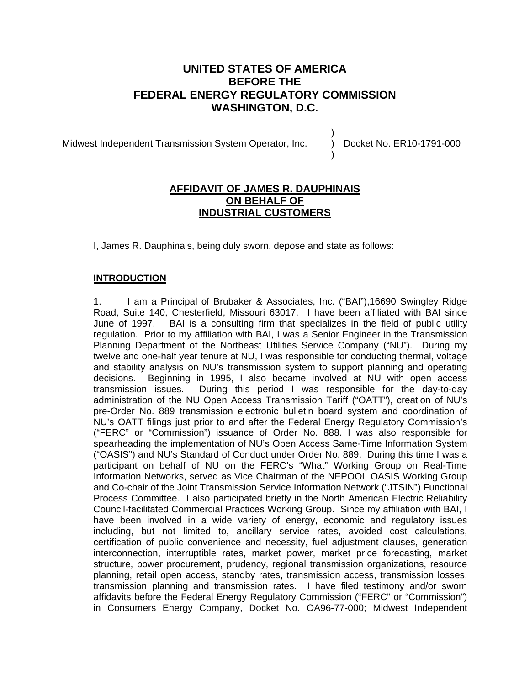# **UNITED STATES OF AMERICA BEFORE THE FEDERAL ENERGY REGULATORY COMMISSION WASHINGTON, D.C.**

Midwest Independent Transmission System Operator, Inc.

Docket No. ER10-1791-000

) ) )

# **AFFIDAVIT OF JAMES R. DAUPHINAIS ON BEHALF OF INDUSTRIAL CUSTOMERS**

I, James R. Dauphinais, being duly sworn, depose and state as follows:

# **INTRODUCTION**

1. I am a Principal of Brubaker & Associates, Inc. ("BAI"),16690 Swingley Ridge Road, Suite 140, Chesterfield, Missouri 63017. I have been affiliated with BAI since June of 1997. BAI is a consulting firm that specializes in the field of public utility regulation. Prior to my affiliation with BAI, I was a Senior Engineer in the Transmission Planning Department of the Northeast Utilities Service Company ("NU"). During my twelve and one-half year tenure at NU, I was responsible for conducting thermal, voltage and stability analysis on NU's transmission system to support planning and operating decisions. Beginning in 1995, I also became involved at NU with open access transmission issues. During this period I was responsible for the day-to-day administration of the NU Open Access Transmission Tariff ("OATT"), creation of NU's pre-Order No. 889 transmission electronic bulletin board system and coordination of NU's OATT filings just prior to and after the Federal Energy Regulatory Commission's ("FERC" or "Commission") issuance of Order No. 888. I was also responsible for spearheading the implementation of NU's Open Access Same-Time Information System ("OASIS") and NU's Standard of Conduct under Order No. 889. During this time I was a participant on behalf of NU on the FERC's "What" Working Group on Real-Time Information Networks, served as Vice Chairman of the NEPOOL OASIS Working Group and Co-chair of the Joint Transmission Service Information Network ("JTSIN") Functional Process Committee. I also participated briefly in the North American Electric Reliability Council-facilitated Commercial Practices Working Group. Since my affiliation with BAI, I have been involved in a wide variety of energy, economic and regulatory issues including, but not limited to, ancillary service rates, avoided cost calculations, certification of public convenience and necessity, fuel adjustment clauses, generation interconnection, interruptible rates, market power, market price forecasting, market structure, power procurement, prudency, regional transmission organizations, resource planning, retail open access, standby rates, transmission access, transmission losses, transmission planning and transmission rates. I have filed testimony and/or sworn affidavits before the Federal Energy Regulatory Commission ("FERC" or "Commission") in Consumers Energy Company, Docket No. OA96-77-000; Midwest Independent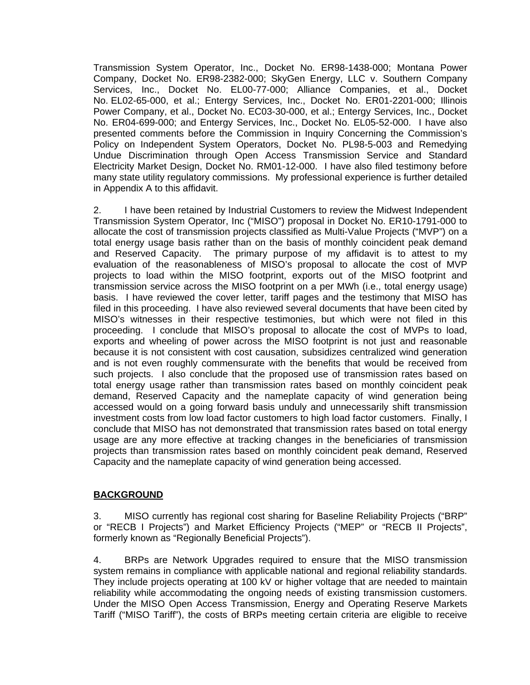Transmission System Operator, Inc., Docket No. ER98-1438-000; Montana Power Company, Docket No. ER98-2382-000; SkyGen Energy, LLC v. Southern Company Services, Inc., Docket No. EL00-77-000; Alliance Companies, et al., Docket No. EL02-65-000, et al.; Entergy Services, Inc., Docket No. ER01-2201-000; Illinois Power Company, et al., Docket No. EC03-30-000, et al.; Entergy Services, Inc., Docket No. ER04-699-000; and Entergy Services, Inc., Docket No. EL05-52-000. I have also presented comments before the Commission in Inquiry Concerning the Commission's Policy on Independent System Operators, Docket No. PL98-5-003 and Remedying Undue Discrimination through Open Access Transmission Service and Standard Electricity Market Design, Docket No. RM01-12-000. I have also filed testimony before many state utility regulatory commissions. My professional experience is further detailed in Appendix A to this affidavit.

2. I have been retained by Industrial Customers to review the Midwest Independent Transmission System Operator, Inc ("MISO") proposal in Docket No. ER10-1791-000 to allocate the cost of transmission projects classified as Multi-Value Projects ("MVP") on a total energy usage basis rather than on the basis of monthly coincident peak demand and Reserved Capacity. The primary purpose of my affidavit is to attest to my evaluation of the reasonableness of MISO's proposal to allocate the cost of MVP projects to load within the MISO footprint, exports out of the MISO footprint and transmission service across the MISO footprint on a per MWh (i.e., total energy usage) basis. I have reviewed the cover letter, tariff pages and the testimony that MISO has filed in this proceeding. I have also reviewed several documents that have been cited by MISO's witnesses in their respective testimonies, but which were not filed in this proceeding. I conclude that MISO's proposal to allocate the cost of MVPs to load, exports and wheeling of power across the MISO footprint is not just and reasonable because it is not consistent with cost causation, subsidizes centralized wind generation and is not even roughly commensurate with the benefits that would be received from such projects. I also conclude that the proposed use of transmission rates based on total energy usage rather than transmission rates based on monthly coincident peak demand, Reserved Capacity and the nameplate capacity of wind generation being accessed would on a going forward basis unduly and unnecessarily shift transmission investment costs from low load factor customers to high load factor customers. Finally, I conclude that MISO has not demonstrated that transmission rates based on total energy usage are any more effective at tracking changes in the beneficiaries of transmission projects than transmission rates based on monthly coincident peak demand, Reserved Capacity and the nameplate capacity of wind generation being accessed.

## **BACKGROUND**

3. MISO currently has regional cost sharing for Baseline Reliability Projects ("BRP" or "RECB I Projects") and Market Efficiency Projects ("MEP" or "RECB II Projects", formerly known as "Regionally Beneficial Projects").

4. BRPs are Network Upgrades required to ensure that the MISO transmission system remains in compliance with applicable national and regional reliability standards. They include projects operating at 100 kV or higher voltage that are needed to maintain reliability while accommodating the ongoing needs of existing transmission customers. Under the MISO Open Access Transmission, Energy and Operating Reserve Markets Tariff ("MISO Tariff"), the costs of BRPs meeting certain criteria are eligible to receive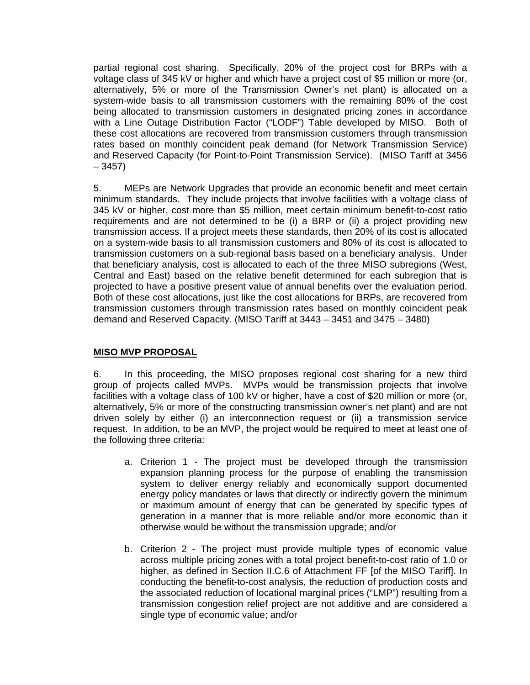partial regional cost sharing. Specifically, 20% of the project cost for BRPs with a voltage class of 345 kV or higher and which have a project cost of \$5 million or more (or, alternatively, 5% or more of the Transmission Owner's net plant) is allocated on a system-wide basis to all transmission customers with the remaining 80% of the cost being allocated to transmission customers in designated pricing zones in accordance with a Line Outage Distribution Factor ("LODF") Table developed by MISO. Both of these cost allocations are recovered from transmission customers through transmission rates based on monthly coincident peak demand (for Network Transmission Service) and Reserved Capacity (for Point-to-Point Transmission Service). (MISO Tariff at 3456 – 3457)

5. MEPs are Network Upgrades that provide an economic benefit and meet certain minimum standards. They include projects that involve facilities with a voltage class of 345 kV or higher, cost more than \$5 million, meet certain minimum benefit-to-cost ratio requirements and are not determined to be (i) a BRP or (ii) a project providing new transmission access. If a project meets these standards, then 20% of its cost is allocated on a system-wide basis to all transmission customers and 80% of its cost is allocated to transmission customers on a sub-regional basis based on a beneficiary analysis. Under that beneficiary analysis, cost is allocated to each of the three MISO subregions (West, Central and East) based on the relative benefit determined for each subregion that is projected to have a positive present value of annual benefits over the evaluation period. Both of these cost allocations, just like the cost allocations for BRPs, are recovered from transmission customers through transmission rates based on monthly coincident peak demand and Reserved Capacity. (MISO Tariff at 3443 – 3451 and 3475 – 3480)

## **MISO MVP PROPOSAL**

6. In this proceeding, the MISO proposes regional cost sharing for a new third group of projects called MVPs. MVPs would be transmission projects that involve facilities with a voltage class of 100 kV or higher, have a cost of \$20 million or more (or, alternatively, 5% or more of the constructing transmission owner's net plant) and are not driven solely by either (i) an interconnection request or (ii) a transmission service request. In addition, to be an MVP, the project would be required to meet at least one of the following three criteria:

- a. Criterion 1 The project must be developed through the transmission expansion planning process for the purpose of enabling the transmission system to deliver energy reliably and economically support documented energy policy mandates or laws that directly or indirectly govern the minimum or maximum amount of energy that can be generated by specific types of generation in a manner that is more reliable and/or more economic than it otherwise would be without the transmission upgrade; and/or
- b. Criterion 2 The project must provide multiple types of economic value across multiple pricing zones with a total project benefit-to-cost ratio of 1.0 or higher, as defined in Section II.C.6 of Attachment FF [of the MISO Tariff]. In conducting the benefit-to-cost analysis, the reduction of production costs and the associated reduction of locational marginal prices ("LMP") resulting from a transmission congestion relief project are not additive and are considered a single type of economic value; and/or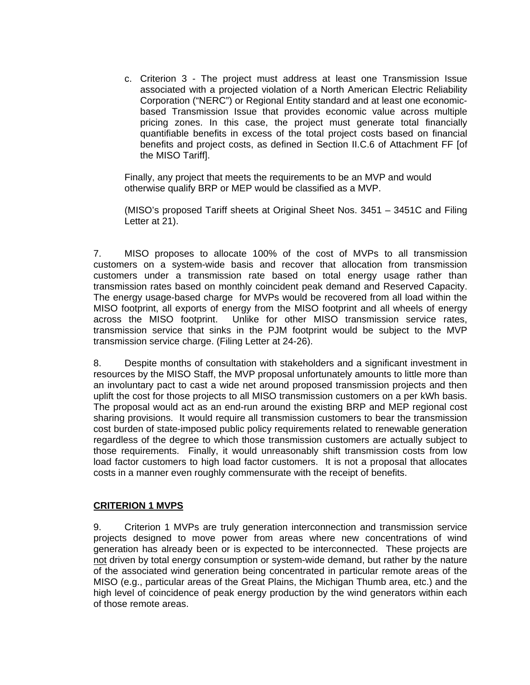c. Criterion 3 - The project must address at least one Transmission Issue associated with a projected violation of a North American Electric Reliability Corporation ("NERC") or Regional Entity standard and at least one economicbased Transmission Issue that provides economic value across multiple pricing zones. In this case, the project must generate total financially quantifiable benefits in excess of the total project costs based on financial benefits and project costs, as defined in Section II.C.6 of Attachment FF [of the MISO Tariff].

Finally, any project that meets the requirements to be an MVP and would otherwise qualify BRP or MEP would be classified as a MVP.

(MISO's proposed Tariff sheets at Original Sheet Nos. 3451 – 3451C and Filing Letter at 21).

7. MISO proposes to allocate 100% of the cost of MVPs to all transmission customers on a system-wide basis and recover that allocation from transmission customers under a transmission rate based on total energy usage rather than transmission rates based on monthly coincident peak demand and Reserved Capacity. The energy usage-based charge for MVPs would be recovered from all load within the MISO footprint, all exports of energy from the MISO footprint and all wheels of energy across the MISO footprint. Unlike for other MISO transmission service rates, transmission service that sinks in the PJM footprint would be subject to the MVP transmission service charge. (Filing Letter at 24-26).

8. Despite months of consultation with stakeholders and a significant investment in resources by the MISO Staff, the MVP proposal unfortunately amounts to little more than an involuntary pact to cast a wide net around proposed transmission projects and then uplift the cost for those projects to all MISO transmission customers on a per kWh basis. The proposal would act as an end-run around the existing BRP and MEP regional cost sharing provisions. It would require all transmission customers to bear the transmission cost burden of state-imposed public policy requirements related to renewable generation regardless of the degree to which those transmission customers are actually subject to those requirements. Finally, it would unreasonably shift transmission costs from low load factor customers to high load factor customers. It is not a proposal that allocates costs in a manner even roughly commensurate with the receipt of benefits.

## **CRITERION 1 MVPS**

9. Criterion 1 MVPs are truly generation interconnection and transmission service projects designed to move power from areas where new concentrations of wind generation has already been or is expected to be interconnected. These projects are not driven by total energy consumption or system-wide demand, but rather by the nature of the associated wind generation being concentrated in particular remote areas of the MISO (e.g., particular areas of the Great Plains, the Michigan Thumb area, etc.) and the high level of coincidence of peak energy production by the wind generators within each of those remote areas.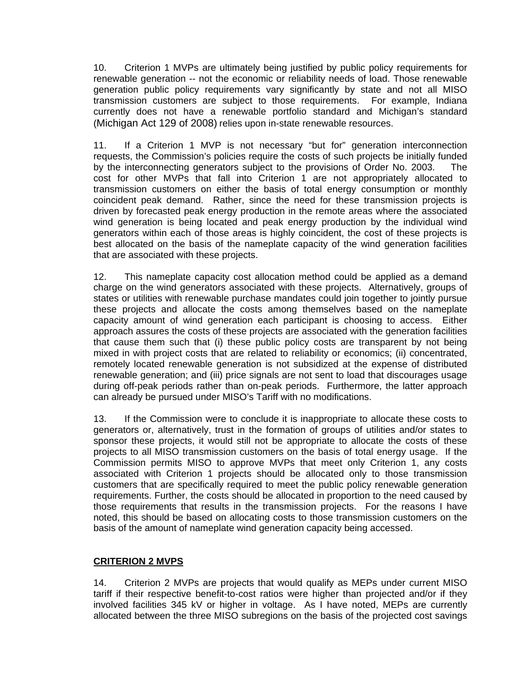10. Criterion 1 MVPs are ultimately being justified by public policy requirements for renewable generation -- not the economic or reliability needs of load. Those renewable generation public policy requirements vary significantly by state and not all MISO transmission customers are subject to those requirements. For example, Indiana currently does not have a renewable portfolio standard and Michigan's standard (Michigan Act 129 of 2008) relies upon in-state renewable resources.

11. If a Criterion 1 MVP is not necessary "but for" generation interconnection requests, the Commission's policies require the costs of such projects be initially funded by the interconnecting generators subject to the provisions of Order No. 2003. The cost for other MVPs that fall into Criterion 1 are not appropriately allocated to transmission customers on either the basis of total energy consumption or monthly coincident peak demand. Rather, since the need for these transmission projects is driven by forecasted peak energy production in the remote areas where the associated wind generation is being located and peak energy production by the individual wind generators within each of those areas is highly coincident, the cost of these projects is best allocated on the basis of the nameplate capacity of the wind generation facilities that are associated with these projects.

12. This nameplate capacity cost allocation method could be applied as a demand charge on the wind generators associated with these projects. Alternatively, groups of states or utilities with renewable purchase mandates could join together to jointly pursue these projects and allocate the costs among themselves based on the nameplate capacity amount of wind generation each participant is choosing to access. Either approach assures the costs of these projects are associated with the generation facilities that cause them such that (i) these public policy costs are transparent by not being mixed in with project costs that are related to reliability or economics; (ii) concentrated, remotely located renewable generation is not subsidized at the expense of distributed renewable generation; and (iii) price signals are not sent to load that discourages usage during off-peak periods rather than on-peak periods. Furthermore, the latter approach can already be pursued under MISO's Tariff with no modifications.

13. If the Commission were to conclude it is inappropriate to allocate these costs to generators or, alternatively, trust in the formation of groups of utilities and/or states to sponsor these projects, it would still not be appropriate to allocate the costs of these projects to all MISO transmission customers on the basis of total energy usage. If the Commission permits MISO to approve MVPs that meet only Criterion 1, any costs associated with Criterion 1 projects should be allocated only to those transmission customers that are specifically required to meet the public policy renewable generation requirements. Further, the costs should be allocated in proportion to the need caused by those requirements that results in the transmission projects. For the reasons I have noted, this should be based on allocating costs to those transmission customers on the basis of the amount of nameplate wind generation capacity being accessed.

# **CRITERION 2 MVPS**

14. Criterion 2 MVPs are projects that would qualify as MEPs under current MISO tariff if their respective benefit-to-cost ratios were higher than projected and/or if they involved facilities 345 kV or higher in voltage. As I have noted, MEPs are currently allocated between the three MISO subregions on the basis of the projected cost savings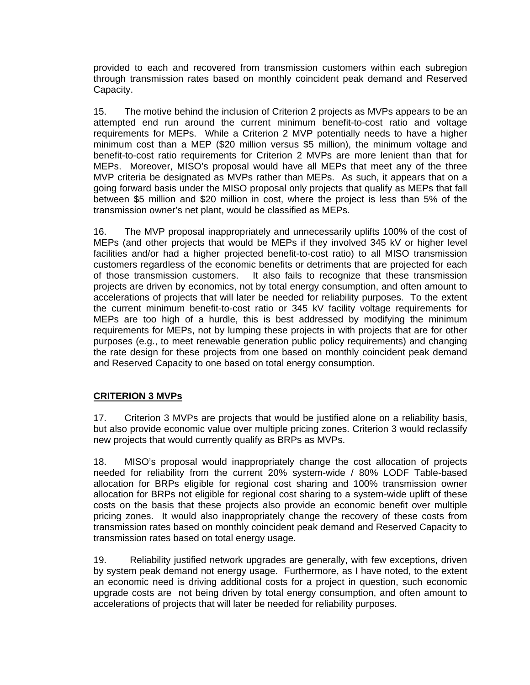provided to each and recovered from transmission customers within each subregion through transmission rates based on monthly coincident peak demand and Reserved Capacity.

15. The motive behind the inclusion of Criterion 2 projects as MVPs appears to be an attempted end run around the current minimum benefit-to-cost ratio and voltage requirements for MEPs. While a Criterion 2 MVP potentially needs to have a higher minimum cost than a MEP (\$20 million versus \$5 million), the minimum voltage and benefit-to-cost ratio requirements for Criterion 2 MVPs are more lenient than that for MEPs. Moreover, MISO's proposal would have all MEPs that meet any of the three MVP criteria be designated as MVPs rather than MEPs. As such, it appears that on a going forward basis under the MISO proposal only projects that qualify as MEPs that fall between \$5 million and \$20 million in cost, where the project is less than 5% of the transmission owner's net plant, would be classified as MEPs.

16. The MVP proposal inappropriately and unnecessarily uplifts 100% of the cost of MEPs (and other projects that would be MEPs if they involved 345 kV or higher level facilities and/or had a higher projected benefit-to-cost ratio) to all MISO transmission customers regardless of the economic benefits or detriments that are projected for each of those transmission customers. It also fails to recognize that these transmission projects are driven by economics, not by total energy consumption, and often amount to accelerations of projects that will later be needed for reliability purposes. To the extent the current minimum benefit-to-cost ratio or 345 kV facility voltage requirements for MEPs are too high of a hurdle, this is best addressed by modifying the minimum requirements for MEPs, not by lumping these projects in with projects that are for other purposes (e.g., to meet renewable generation public policy requirements) and changing the rate design for these projects from one based on monthly coincident peak demand and Reserved Capacity to one based on total energy consumption.

## **CRITERION 3 MVPs**

17. Criterion 3 MVPs are projects that would be justified alone on a reliability basis, but also provide economic value over multiple pricing zones. Criterion 3 would reclassify new projects that would currently qualify as BRPs as MVPs.

18. MISO's proposal would inappropriately change the cost allocation of projects needed for reliability from the current 20% system-wide / 80% LODF Table-based allocation for BRPs eligible for regional cost sharing and 100% transmission owner allocation for BRPs not eligible for regional cost sharing to a system-wide uplift of these costs on the basis that these projects also provide an economic benefit over multiple pricing zones. It would also inappropriately change the recovery of these costs from transmission rates based on monthly coincident peak demand and Reserved Capacity to transmission rates based on total energy usage.

19. Reliability justified network upgrades are generally, with few exceptions, driven by system peak demand not energy usage. Furthermore, as I have noted, to the extent an economic need is driving additional costs for a project in question, such economic upgrade costs are not being driven by total energy consumption, and often amount to accelerations of projects that will later be needed for reliability purposes.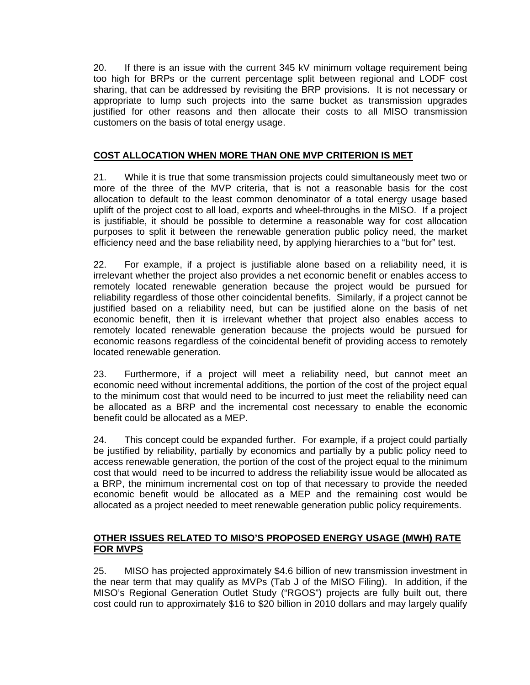20. If there is an issue with the current 345 kV minimum voltage requirement being too high for BRPs or the current percentage split between regional and LODF cost sharing, that can be addressed by revisiting the BRP provisions. It is not necessary or appropriate to lump such projects into the same bucket as transmission upgrades justified for other reasons and then allocate their costs to all MISO transmission customers on the basis of total energy usage.

# **COST ALLOCATION WHEN MORE THAN ONE MVP CRITERION IS MET**

21. While it is true that some transmission projects could simultaneously meet two or more of the three of the MVP criteria, that is not a reasonable basis for the cost allocation to default to the least common denominator of a total energy usage based uplift of the project cost to all load, exports and wheel-throughs in the MISO. If a project is justifiable, it should be possible to determine a reasonable way for cost allocation purposes to split it between the renewable generation public policy need, the market efficiency need and the base reliability need, by applying hierarchies to a "but for" test.

22. For example, if a project is justifiable alone based on a reliability need, it is irrelevant whether the project also provides a net economic benefit or enables access to remotely located renewable generation because the project would be pursued for reliability regardless of those other coincidental benefits. Similarly, if a project cannot be justified based on a reliability need, but can be justified alone on the basis of net economic benefit, then it is irrelevant whether that project also enables access to remotely located renewable generation because the projects would be pursued for economic reasons regardless of the coincidental benefit of providing access to remotely located renewable generation.

23. Furthermore, if a project will meet a reliability need, but cannot meet an economic need without incremental additions, the portion of the cost of the project equal to the minimum cost that would need to be incurred to just meet the reliability need can be allocated as a BRP and the incremental cost necessary to enable the economic benefit could be allocated as a MEP.

24. This concept could be expanded further. For example, if a project could partially be justified by reliability, partially by economics and partially by a public policy need to access renewable generation, the portion of the cost of the project equal to the minimum cost that would need to be incurred to address the reliability issue would be allocated as a BRP, the minimum incremental cost on top of that necessary to provide the needed economic benefit would be allocated as a MEP and the remaining cost would be allocated as a project needed to meet renewable generation public policy requirements.

# **OTHER ISSUES RELATED TO MISO'S PROPOSED ENERGY USAGE (MWH) RATE FOR MVPS**

25. MISO has projected approximately \$4.6 billion of new transmission investment in the near term that may qualify as MVPs (Tab J of the MISO Filing). In addition, if the MISO's Regional Generation Outlet Study ("RGOS") projects are fully built out, there cost could run to approximately \$16 to \$20 billion in 2010 dollars and may largely qualify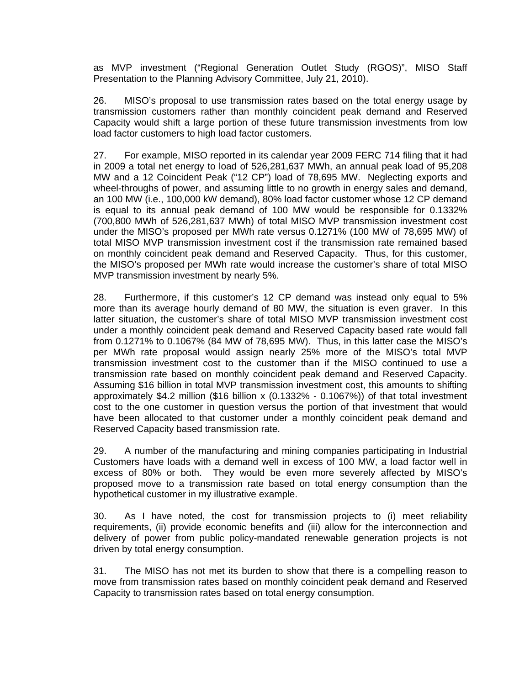as MVP investment ("Regional Generation Outlet Study (RGOS)", MISO Staff Presentation to the Planning Advisory Committee, July 21, 2010).

26. MISO's proposal to use transmission rates based on the total energy usage by transmission customers rather than monthly coincident peak demand and Reserved Capacity would shift a large portion of these future transmission investments from low load factor customers to high load factor customers.

27. For example, MISO reported in its calendar year 2009 FERC 714 filing that it had in 2009 a total net energy to load of 526,281,637 MWh, an annual peak load of 95,208 MW and a 12 Coincident Peak ("12 CP") load of 78,695 MW. Neglecting exports and wheel-throughs of power, and assuming little to no growth in energy sales and demand, an 100 MW (i.e., 100,000 kW demand), 80% load factor customer whose 12 CP demand is equal to its annual peak demand of 100 MW would be responsible for 0.1332% (700,800 MWh of 526,281,637 MWh) of total MISO MVP transmission investment cost under the MISO's proposed per MWh rate versus 0.1271% (100 MW of 78,695 MW) of total MISO MVP transmission investment cost if the transmission rate remained based on monthly coincident peak demand and Reserved Capacity. Thus, for this customer, the MISO's proposed per MWh rate would increase the customer's share of total MISO MVP transmission investment by nearly 5%.

28. Furthermore, if this customer's 12 CP demand was instead only equal to 5% more than its average hourly demand of 80 MW, the situation is even graver. In this latter situation, the customer's share of total MISO MVP transmission investment cost under a monthly coincident peak demand and Reserved Capacity based rate would fall from 0.1271% to 0.1067% (84 MW of 78,695 MW). Thus, in this latter case the MISO's per MWh rate proposal would assign nearly 25% more of the MISO's total MVP transmission investment cost to the customer than if the MISO continued to use a transmission rate based on monthly coincident peak demand and Reserved Capacity. Assuming \$16 billion in total MVP transmission investment cost, this amounts to shifting approximately  $$4.2$  million  $$16$  billion x  $(0.1332\% - 0.1067\%)$  of that total investment cost to the one customer in question versus the portion of that investment that would have been allocated to that customer under a monthly coincident peak demand and Reserved Capacity based transmission rate.

29. A number of the manufacturing and mining companies participating in Industrial Customers have loads with a demand well in excess of 100 MW, a load factor well in excess of 80% or both. They would be even more severely affected by MISO's proposed move to a transmission rate based on total energy consumption than the hypothetical customer in my illustrative example.

30. As I have noted, the cost for transmission projects to (i) meet reliability requirements, (ii) provide economic benefits and (iii) allow for the interconnection and delivery of power from public policy-mandated renewable generation projects is not driven by total energy consumption.

31. The MISO has not met its burden to show that there is a compelling reason to move from transmission rates based on monthly coincident peak demand and Reserved Capacity to transmission rates based on total energy consumption.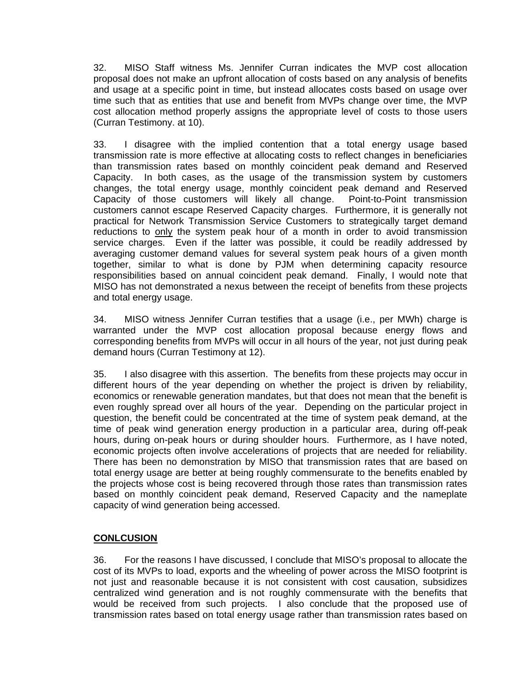32. MISO Staff witness Ms. Jennifer Curran indicates the MVP cost allocation proposal does not make an upfront allocation of costs based on any analysis of benefits and usage at a specific point in time, but instead allocates costs based on usage over time such that as entities that use and benefit from MVPs change over time, the MVP cost allocation method properly assigns the appropriate level of costs to those users (Curran Testimony. at 10).

33. I disagree with the implied contention that a total energy usage based transmission rate is more effective at allocating costs to reflect changes in beneficiaries than transmission rates based on monthly coincident peak demand and Reserved Capacity. In both cases, as the usage of the transmission system by customers changes, the total energy usage, monthly coincident peak demand and Reserved Capacity of those customers will likely all change. Point-to-Point transmission customers cannot escape Reserved Capacity charges. Furthermore, it is generally not practical for Network Transmission Service Customers to strategically target demand reductions to only the system peak hour of a month in order to avoid transmission service charges. Even if the latter was possible, it could be readily addressed by averaging customer demand values for several system peak hours of a given month together, similar to what is done by PJM when determining capacity resource responsibilities based on annual coincident peak demand. Finally, I would note that MISO has not demonstrated a nexus between the receipt of benefits from these projects and total energy usage.

34. MISO witness Jennifer Curran testifies that a usage (i.e., per MWh) charge is warranted under the MVP cost allocation proposal because energy flows and corresponding benefits from MVPs will occur in all hours of the year, not just during peak demand hours (Curran Testimony at 12).

35. I also disagree with this assertion. The benefits from these projects may occur in different hours of the year depending on whether the project is driven by reliability, economics or renewable generation mandates, but that does not mean that the benefit is even roughly spread over all hours of the year. Depending on the particular project in question, the benefit could be concentrated at the time of system peak demand, at the time of peak wind generation energy production in a particular area, during off-peak hours, during on-peak hours or during shoulder hours. Furthermore, as I have noted, economic projects often involve accelerations of projects that are needed for reliability. There has been no demonstration by MISO that transmission rates that are based on total energy usage are better at being roughly commensurate to the benefits enabled by the projects whose cost is being recovered through those rates than transmission rates based on monthly coincident peak demand, Reserved Capacity and the nameplate capacity of wind generation being accessed.

# **CONLCUSION**

36. For the reasons I have discussed, I conclude that MISO's proposal to allocate the cost of its MVPs to load, exports and the wheeling of power across the MISO footprint is not just and reasonable because it is not consistent with cost causation, subsidizes centralized wind generation and is not roughly commensurate with the benefits that would be received from such projects. I also conclude that the proposed use of transmission rates based on total energy usage rather than transmission rates based on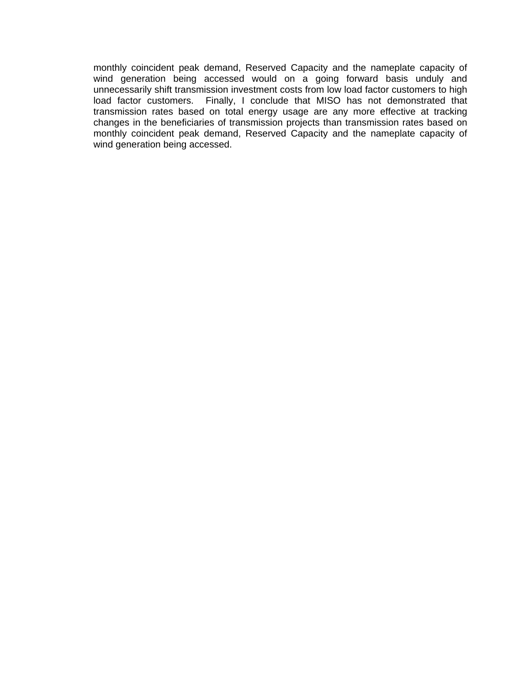monthly coincident peak demand, Reserved Capacity and the nameplate capacity of wind generation being accessed would on a going forward basis unduly and unnecessarily shift transmission investment costs from low load factor customers to high load factor customers. Finally, I conclude that MISO has not demonstrated that transmission rates based on total energy usage are any more effective at tracking changes in the beneficiaries of transmission projects than transmission rates based on monthly coincident peak demand, Reserved Capacity and the nameplate capacity of wind generation being accessed.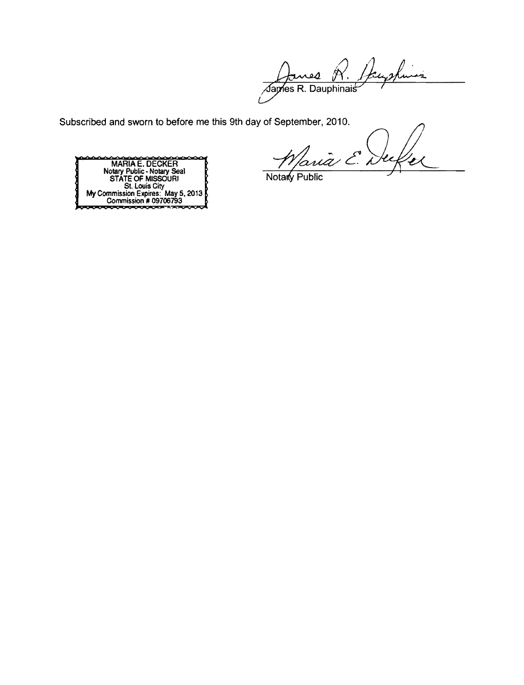Hans nes R. يد  $\overline{\mathcal{A}}$ ames R. Dauphinais

Subscribed and sworn to before me this 9th day of September, 2010.

Paria E. Duf



Notary Public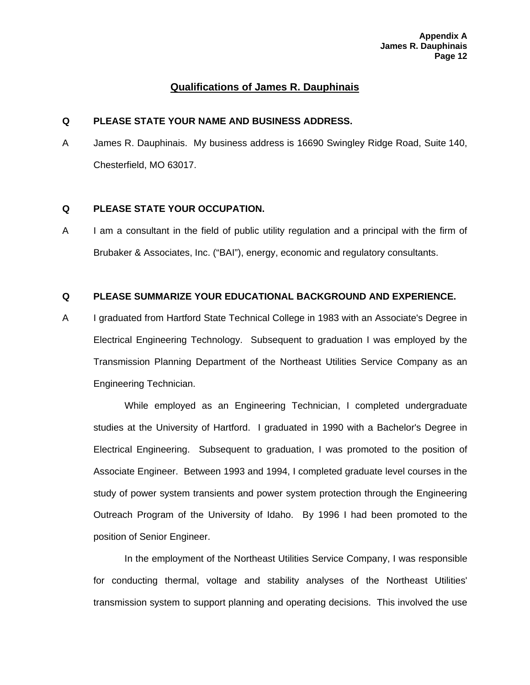# **Qualifications of James R. Dauphinais**

### **Q PLEASE STATE YOUR NAME AND BUSINESS ADDRESS.**

A James R. Dauphinais. My business address is 16690 Swingley Ridge Road, Suite 140, Chesterfield, MO 63017.

### **Q PLEASE STATE YOUR OCCUPATION.**

A I am a consultant in the field of public utility regulation and a principal with the firm of Brubaker & Associates, Inc. ("BAI"), energy, economic and regulatory consultants.

### **Q PLEASE SUMMARIZE YOUR EDUCATIONAL BACKGROUND AND EXPERIENCE.**

A I graduated from Hartford State Technical College in 1983 with an Associate's Degree in Electrical Engineering Technology. Subsequent to graduation I was employed by the Transmission Planning Department of the Northeast Utilities Service Company as an Engineering Technician.

While employed as an Engineering Technician, I completed undergraduate studies at the University of Hartford. I graduated in 1990 with a Bachelor's Degree in Electrical Engineering. Subsequent to graduation, I was promoted to the position of Associate Engineer. Between 1993 and 1994, I completed graduate level courses in the study of power system transients and power system protection through the Engineering Outreach Program of the University of Idaho. By 1996 I had been promoted to the position of Senior Engineer.

In the employment of the Northeast Utilities Service Company, I was responsible for conducting thermal, voltage and stability analyses of the Northeast Utilities' transmission system to support planning and operating decisions. This involved the use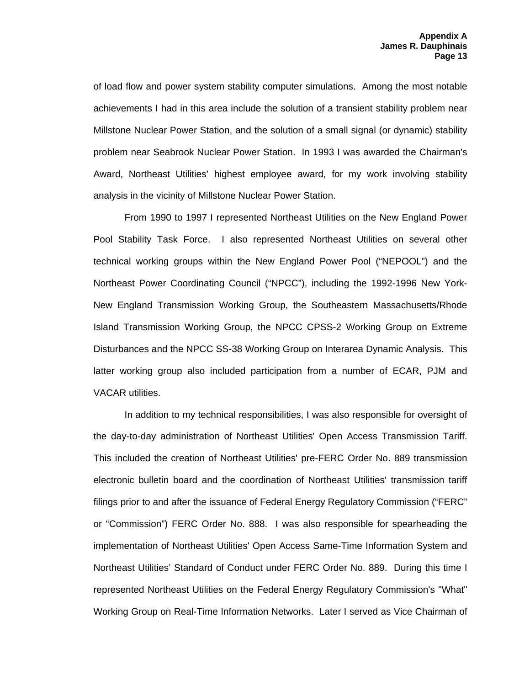of load flow and power system stability computer simulations. Among the most notable achievements I had in this area include the solution of a transient stability problem near Millstone Nuclear Power Station, and the solution of a small signal (or dynamic) stability problem near Seabrook Nuclear Power Station. In 1993 I was awarded the Chairman's Award, Northeast Utilities' highest employee award, for my work involving stability analysis in the vicinity of Millstone Nuclear Power Station.

From 1990 to 1997 I represented Northeast Utilities on the New England Power Pool Stability Task Force. I also represented Northeast Utilities on several other technical working groups within the New England Power Pool ("NEPOOL") and the Northeast Power Coordinating Council ("NPCC"), including the 1992-1996 New York-New England Transmission Working Group, the Southeastern Massachusetts/Rhode Island Transmission Working Group, the NPCC CPSS-2 Working Group on Extreme Disturbances and the NPCC SS-38 Working Group on Interarea Dynamic Analysis. This latter working group also included participation from a number of ECAR, PJM and VACAR utilities.

In addition to my technical responsibilities, I was also responsible for oversight of the day-to-day administration of Northeast Utilities' Open Access Transmission Tariff. This included the creation of Northeast Utilities' pre-FERC Order No. 889 transmission electronic bulletin board and the coordination of Northeast Utilities' transmission tariff filings prior to and after the issuance of Federal Energy Regulatory Commission ("FERC" or "Commission") FERC Order No. 888. I was also responsible for spearheading the implementation of Northeast Utilities' Open Access Same-Time Information System and Northeast Utilities' Standard of Conduct under FERC Order No. 889. During this time I represented Northeast Utilities on the Federal Energy Regulatory Commission's "What" Working Group on Real-Time Information Networks. Later I served as Vice Chairman of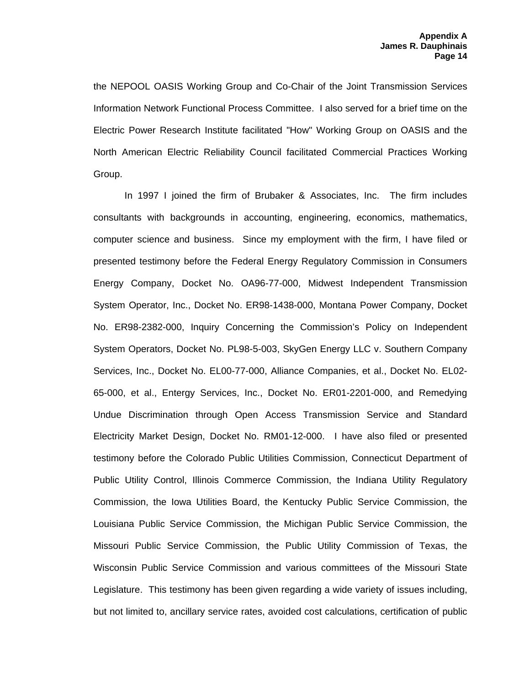the NEPOOL OASIS Working Group and Co-Chair of the Joint Transmission Services Information Network Functional Process Committee. I also served for a brief time on the Electric Power Research Institute facilitated "How" Working Group on OASIS and the North American Electric Reliability Council facilitated Commercial Practices Working Group.

In 1997 I joined the firm of Brubaker & Associates, Inc. The firm includes consultants with backgrounds in accounting, engineering, economics, mathematics, computer science and business. Since my employment with the firm, I have filed or presented testimony before the Federal Energy Regulatory Commission in Consumers Energy Company, Docket No. OA96-77-000, Midwest Independent Transmission System Operator, Inc., Docket No. ER98-1438-000, Montana Power Company, Docket No. ER98-2382-000, Inquiry Concerning the Commission's Policy on Independent System Operators, Docket No. PL98-5-003, SkyGen Energy LLC v. Southern Company Services, Inc., Docket No. EL00-77-000, Alliance Companies, et al., Docket No. EL02- 65-000, et al., Entergy Services, Inc., Docket No. ER01-2201-000, and Remedying Undue Discrimination through Open Access Transmission Service and Standard Electricity Market Design, Docket No. RM01-12-000. I have also filed or presented testimony before the Colorado Public Utilities Commission, Connecticut Department of Public Utility Control, Illinois Commerce Commission, the Indiana Utility Regulatory Commission, the Iowa Utilities Board, the Kentucky Public Service Commission, the Louisiana Public Service Commission, the Michigan Public Service Commission, the Missouri Public Service Commission, the Public Utility Commission of Texas, the Wisconsin Public Service Commission and various committees of the Missouri State Legislature. This testimony has been given regarding a wide variety of issues including, but not limited to, ancillary service rates, avoided cost calculations, certification of public